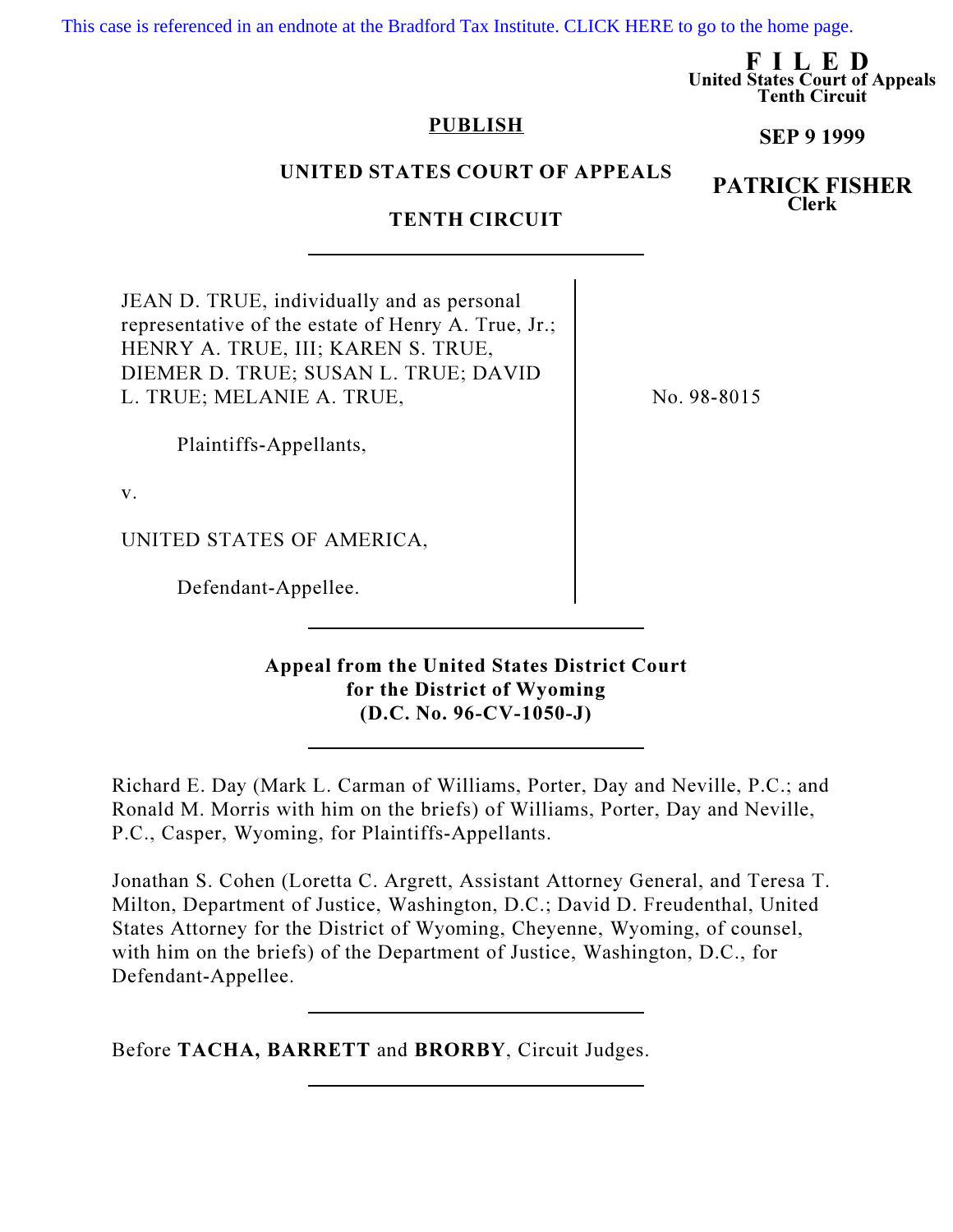[This case is referenced in an endnote at the Bradford Tax Institute. CLICK HERE to go to the home page.](http://www.bradfordtaxinstitute.com/)

FILED United States Court of Appeals Tenth Circuit

### PUBLISH

# UNITED STATES COURT OF APPEALS

# TENTH CIRCUIT

JEAN D. TRUE, individually and as personal representative of the estate of Henry A. True, Jr.; HENRY A. TRUE, III; KAREN S. TRUE, DIEMER D. TRUE; SUSAN L. TRUE; DAVID L. TRUE; MELANIE A. TRUE,

No. 98-8015

Plaintiffs-Appellants,

v.

UNITED STATES OF AMERICA,

Defendant-Appellee.

Appeal from the United States District Court for the District of Wyoming (D.C. No. 96-CV-1050-J)

Richard E. Day (Mark L. Carman of Williams, Porter, Day and Neville, P.C.; and Ronald M. Morris with him on the briefs) of Williams, Porter, Day and Neville, P.C., Casper, Wyoming, for Plaintiffs-Appellants.

Jonathan S. Cohen (Loretta C. Argrett, Assistant Attorney General, and Teresa T. Milton, Department of Justice, Washington, D.C.; David D. Freudenthal, United States Attorney for the District of Wyoming, Cheyenne, Wyoming, of counsel, with him on the briefs) of the Department of Justice, Washington, D.C., for Defendant-Appellee.

Before TACHA, BARRETT and BRORBY, Circuit Judges.

SEP 9 1999

PATRICK FISHER Clerk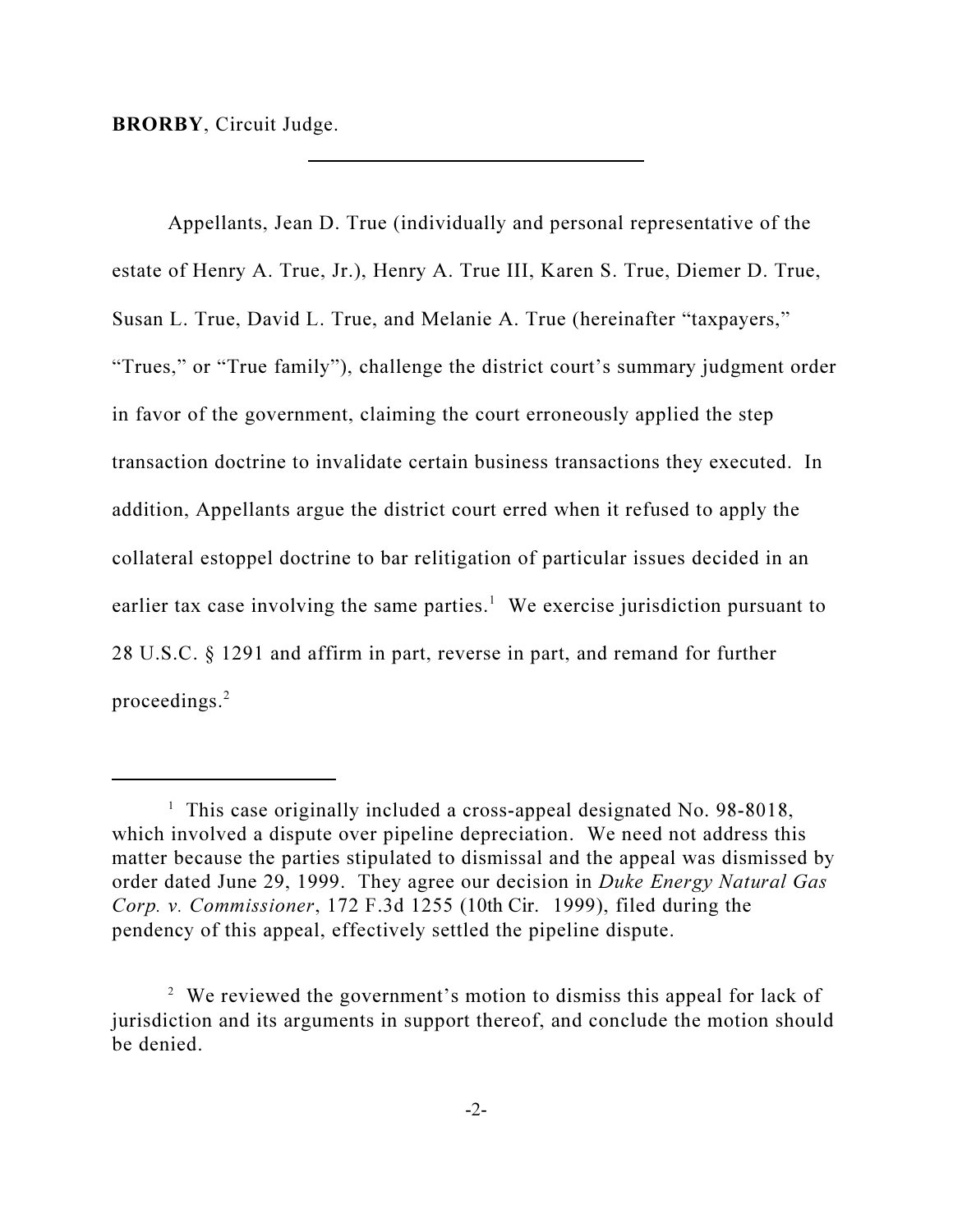BRORBY, Circuit Judge.

Appellants, Jean D. True (individually and personal representative of the estate of Henry A. True, Jr.), Henry A. True III, Karen S. True, Diemer D. True, Susan L. True, David L. True, and Melanie A. True (hereinafter "taxpayers," "Trues," or "True family"), challenge the district court's summary judgment order in favor of the government, claiming the court erroneously applied the step transaction doctrine to invalidate certain business transactions they executed. In addition, Appellants argue the district court erred when it refused to apply the collateral estoppel doctrine to bar relitigation of particular issues decided in an earlier tax case involving the same parties.<sup>1</sup> We exercise jurisdiction pursuant to 28 U.S.C. § 1291 and affirm in part, reverse in part, and remand for further proceedings.<sup>2</sup>

<sup>&</sup>lt;sup>1</sup> This case originally included a cross-appeal designated No. 98-8018, which involved a dispute over pipeline depreciation. We need not address this matter because the parties stipulated to dismissal and the appeal was dismissed by order dated June 29, 1999. They agree our decision in Duke Energy Natural Gas Corp. v. Commissioner, 172 F.3d 1255 (10th Cir. 1999), filed during the pendency of this appeal, effectively settled the pipeline dispute.

<sup>&</sup>lt;sup>2</sup> We reviewed the government's motion to dismiss this appeal for lack of jurisdiction and its arguments in support thereof, and conclude the motion should be denied.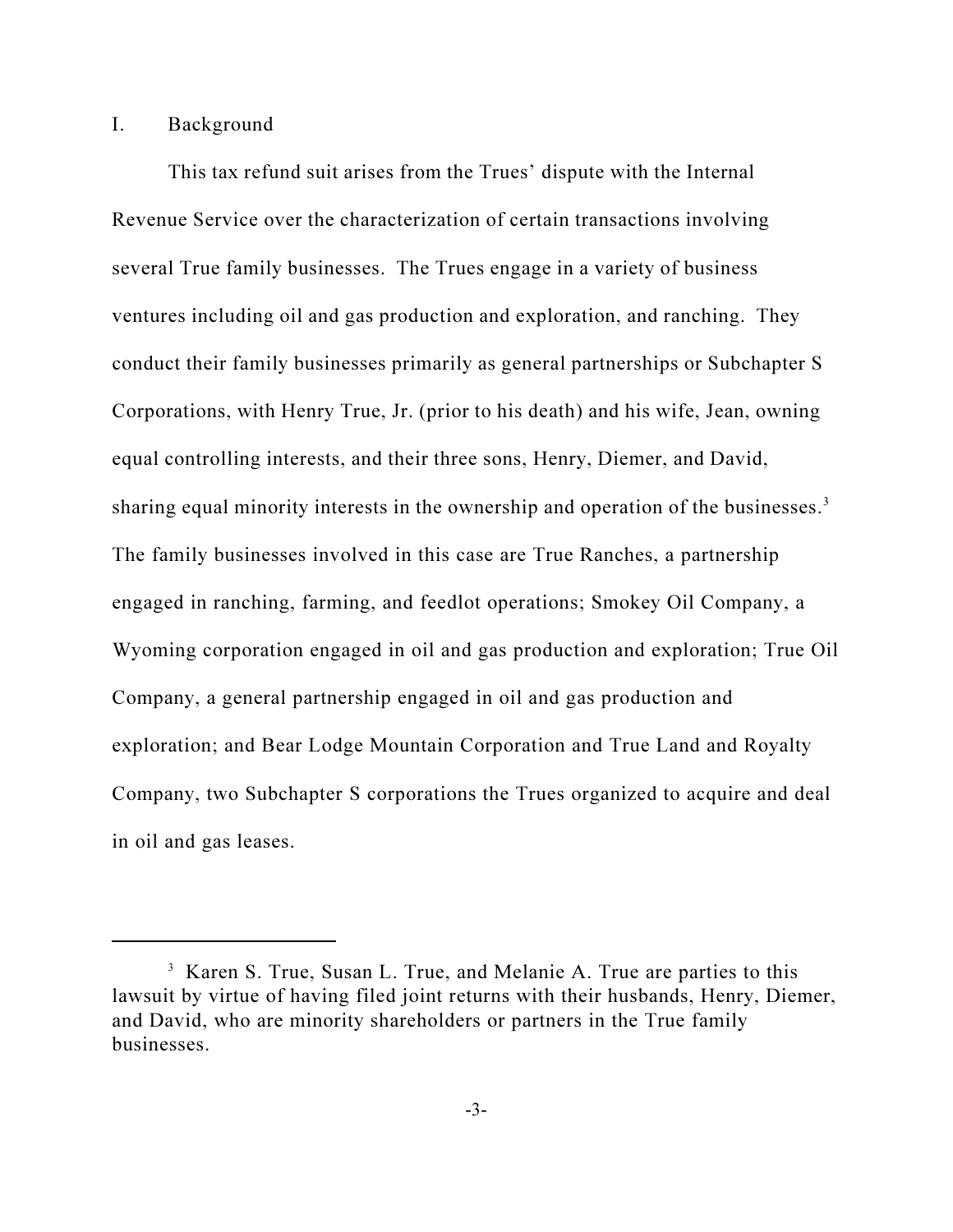## I. Background

This tax refund suit arises from the Trues' dispute with the Internal Revenue Service over the characterization of certain transactions involving several True family businesses. The Trues engage in a variety of business ventures including oil and gas production and exploration, and ranching. They conduct their family businesses primarily as general partnerships or Subchapter S Corporations, with Henry True, Jr. (prior to his death) and his wife, Jean, owning equal controlling interests, and their three sons, Henry, Diemer, and David, sharing equal minority interests in the ownership and operation of the businesses.<sup>3</sup> The family businesses involved in this case are True Ranches, a partnership engaged in ranching, farming, and feedlot operations; Smokey Oil Company, a Wyoming corporation engaged in oil and gas production and exploration; True Oil Company, a general partnership engaged in oil and gas production and exploration; and Bear Lodge Mountain Corporation and True Land and Royalty Company, two Subchapter S corporations the Trues organized to acquire and deal in oil and gas leases.

<sup>&</sup>lt;sup>3</sup> Karen S. True, Susan L. True, and Melanie A. True are parties to this lawsuit by virtue of having filed joint returns with their husbands, Henry, Diemer, and David, who are minority shareholders or partners in the True family businesses.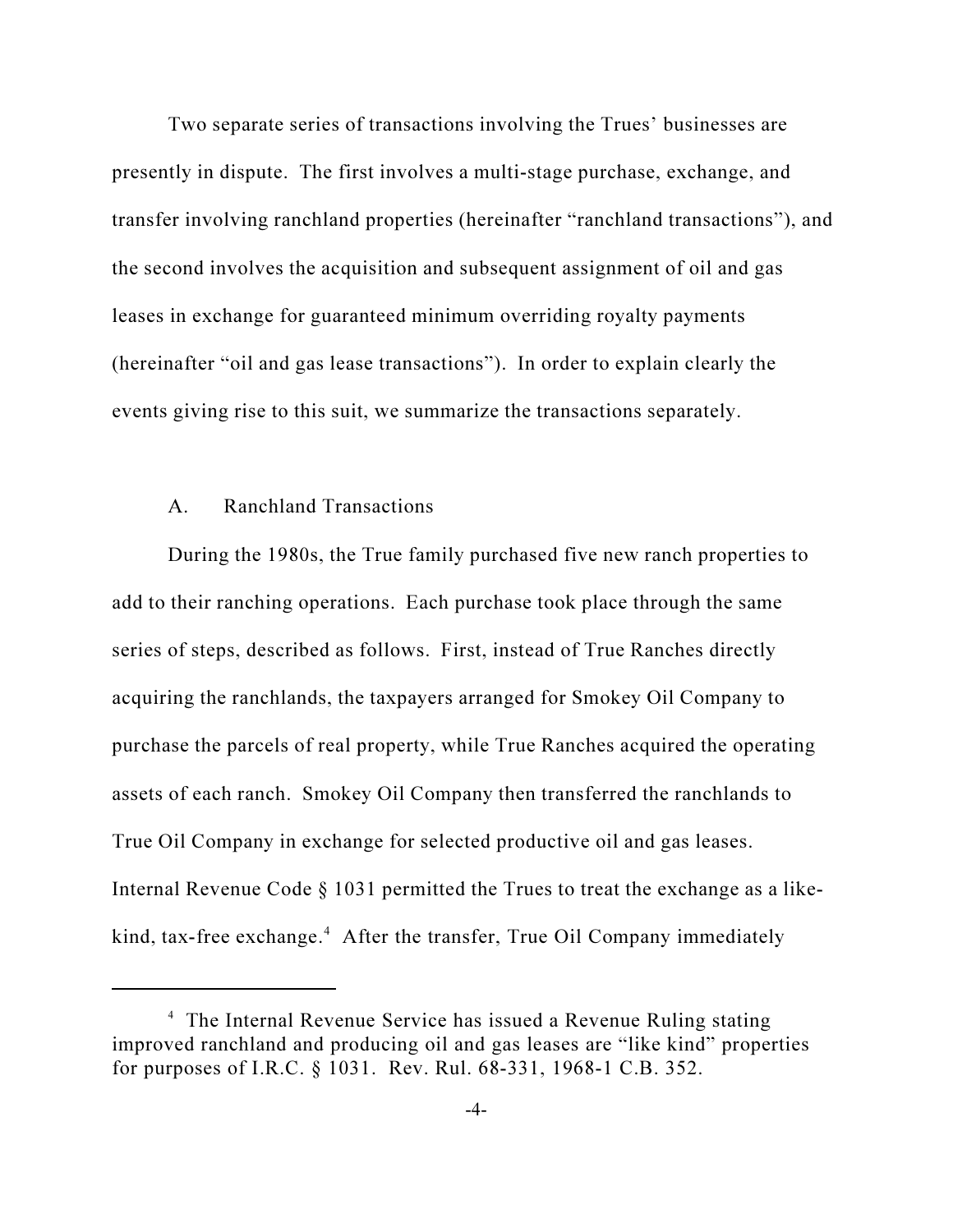Two separate series of transactions involving the Trues' businesses are presently in dispute. The first involves a multi-stage purchase, exchange, and transfer involving ranchland properties (hereinafter "ranchland transactions"), and the second involves the acquisition and subsequent assignment of oil and gas leases in exchange for guaranteed minimum overriding royalty payments (hereinafter "oil and gas lease transactions"). In order to explain clearly the events giving rise to this suit, we summarize the transactions separately.

### A. Ranchland Transactions

During the 1980s, the True family purchased five new ranch properties to add to their ranching operations. Each purchase took place through the same series of steps, described as follows. First, instead of True Ranches directly acquiring the ranchlands, the taxpayers arranged for Smokey Oil Company to purchase the parcels of real property, while True Ranches acquired the operating assets of each ranch. Smokey Oil Company then transferred the ranchlands to True Oil Company in exchange for selected productive oil and gas leases. Internal Revenue Code § 1031 permitted the Trues to treat the exchange as a likekind, tax-free exchange.<sup>4</sup> After the transfer, True Oil Company immediately

<sup>4</sup> The Internal Revenue Service has issued a Revenue Ruling stating improved ranchland and producing oil and gas leases are "like kind" properties for purposes of I.R.C. § 1031. Rev. Rul. 68-331, 1968-1 C.B. 352.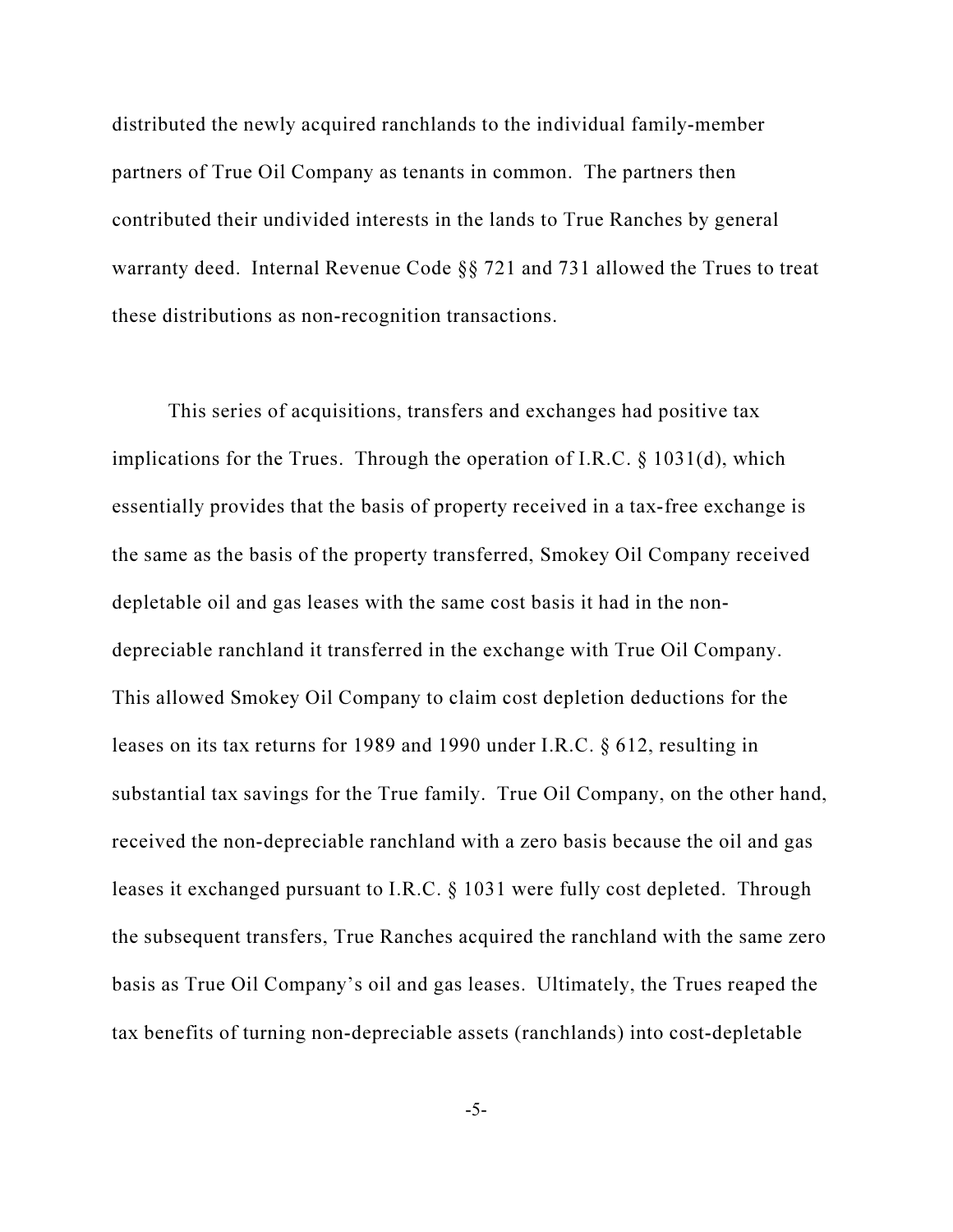distributed the newly acquired ranchlands to the individual family-member partners of True Oil Company as tenants in common. The partners then contributed their undivided interests in the lands to True Ranches by general warranty deed. Internal Revenue Code §§ 721 and 731 allowed the Trues to treat these distributions as non-recognition transactions.

This series of acquisitions, transfers and exchanges had positive tax implications for the Trues. Through the operation of I.R.C. § 1031(d), which essentially provides that the basis of property received in a tax-free exchange is the same as the basis of the property transferred, Smokey Oil Company received depletable oil and gas leases with the same cost basis it had in the nondepreciable ranchland it transferred in the exchange with True Oil Company. This allowed Smokey Oil Company to claim cost depletion deductions for the leases on its tax returns for 1989 and 1990 under I.R.C. § 612, resulting in substantial tax savings for the True family. True Oil Company, on the other hand, received the non-depreciable ranchland with a zero basis because the oil and gas leases it exchanged pursuant to I.R.C. § 1031 were fully cost depleted. Through the subsequent transfers, True Ranches acquired the ranchland with the same zero basis as True Oil Company's oil and gas leases. Ultimately, the Trues reaped the tax benefits of turning non-depreciable assets (ranchlands) into cost-depletable

-5-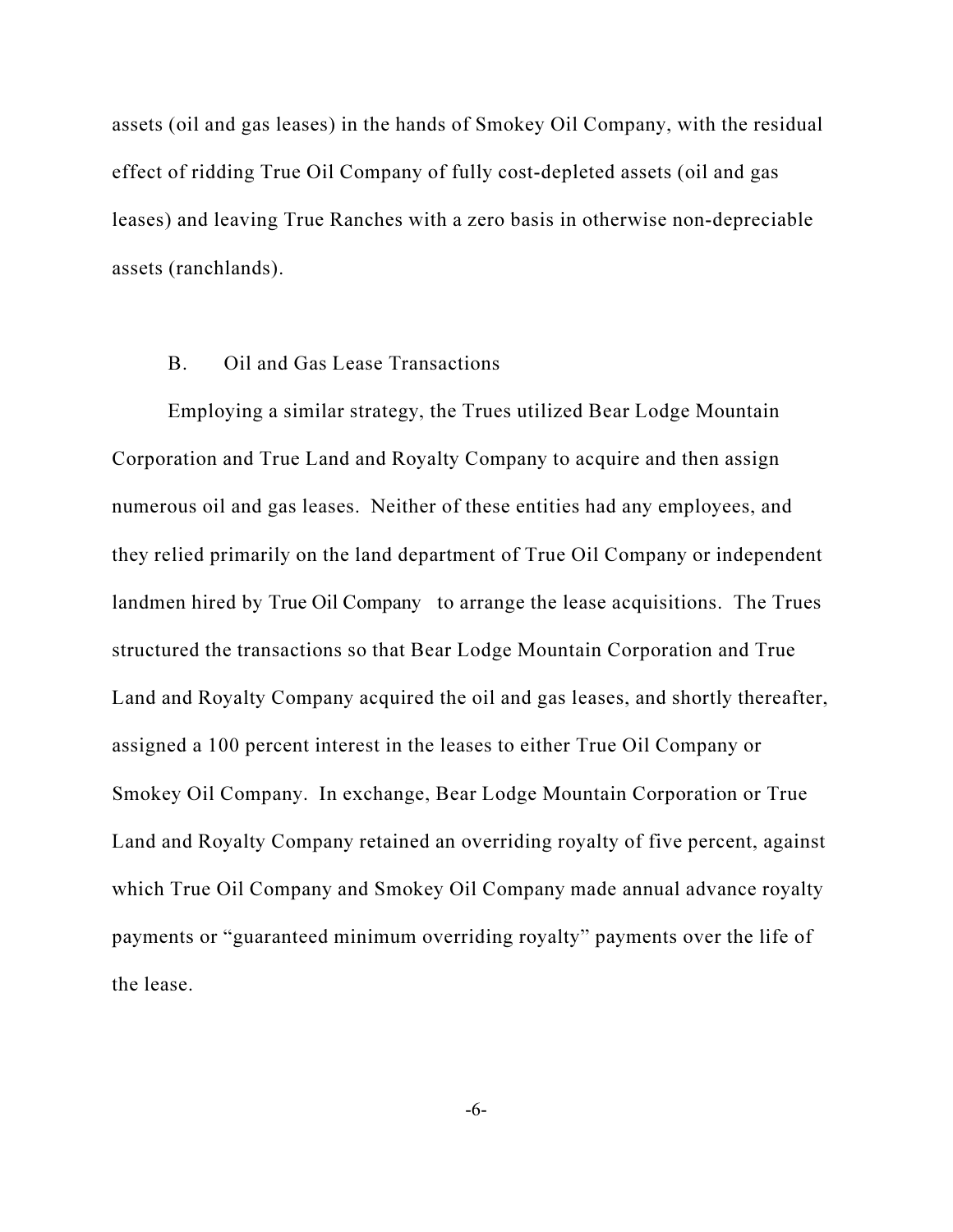assets (oil and gas leases) in the hands of Smokey Oil Company, with the residual effect of ridding True Oil Company of fully cost-depleted assets (oil and gas leases) and leaving True Ranches with a zero basis in otherwise non-depreciable assets (ranchlands).

## B. Oil and Gas Lease Transactions

Employing a similar strategy, the Trues utilized Bear Lodge Mountain Corporation and True Land and Royalty Company to acquire and then assign numerous oil and gas leases. Neither of these entities had any employees, and they relied primarily on the land department of True Oil Company or independent landmen hired by True Oil Company to arrange the lease acquisitions. The Trues structured the transactions so that Bear Lodge Mountain Corporation and True Land and Royalty Company acquired the oil and gas leases, and shortly thereafter, assigned a 100 percent interest in the leases to either True Oil Company or Smokey Oil Company. In exchange, Bear Lodge Mountain Corporation or True Land and Royalty Company retained an overriding royalty of five percent, against which True Oil Company and Smokey Oil Company made annual advance royalty payments or "guaranteed minimum overriding royalty" payments over the life of the lease.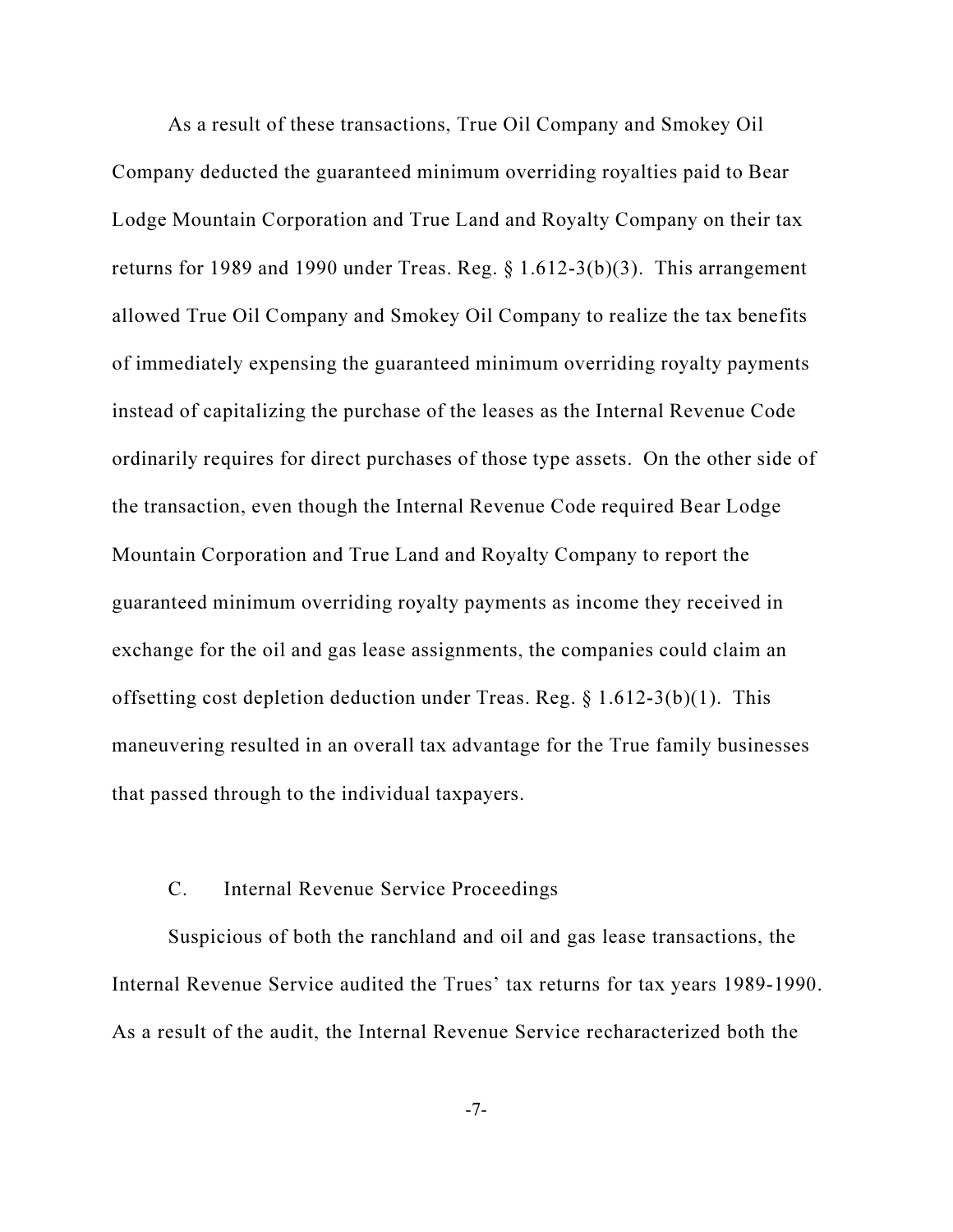As a result of these transactions, True Oil Company and Smokey Oil Company deducted the guaranteed minimum overriding royalties paid to Bear Lodge Mountain Corporation and True Land and Royalty Company on their tax returns for 1989 and 1990 under Treas. Reg.  $\S 1.612-3(b)(3)$ . This arrangement allowed True Oil Company and Smokey Oil Company to realize the tax benefits of immediately expensing the guaranteed minimum overriding royalty payments instead of capitalizing the purchase of the leases as the Internal Revenue Code ordinarily requires for direct purchases of those type assets. On the other side of the transaction, even though the Internal Revenue Code required Bear Lodge Mountain Corporation and True Land and Royalty Company to report the guaranteed minimum overriding royalty payments as income they received in exchange for the oil and gas lease assignments, the companies could claim an offsetting cost depletion deduction under Treas. Reg. § 1.612-3(b)(1). This maneuvering resulted in an overall tax advantage for the True family businesses that passed through to the individual taxpayers.

#### C. Internal Revenue Service Proceedings

Suspicious of both the ranchland and oil and gas lease transactions, the Internal Revenue Service audited the Trues' tax returns for tax years 1989-1990. As a result of the audit, the Internal Revenue Service recharacterized both the

-7-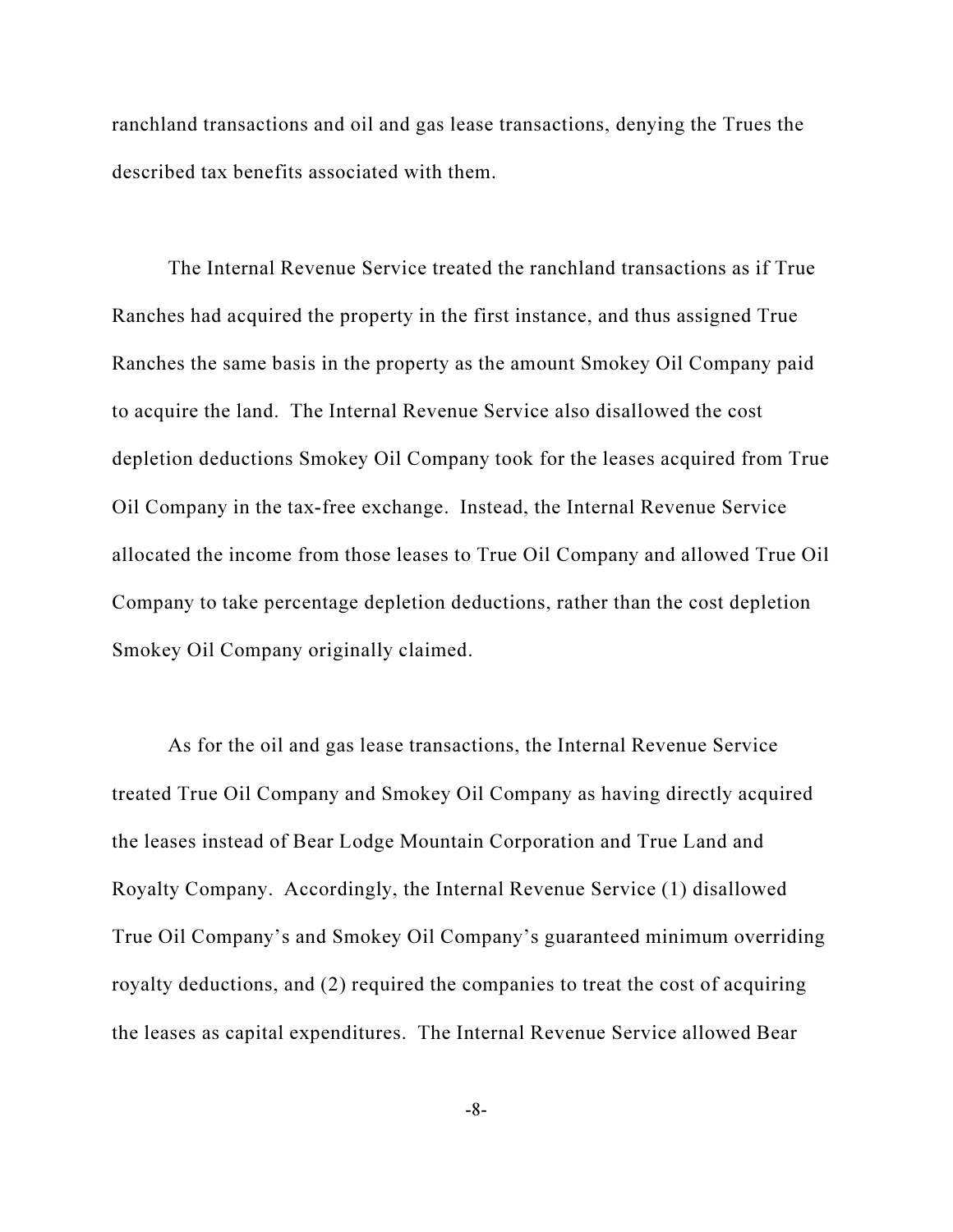ranchland transactions and oil and gas lease transactions, denying the Trues the described tax benefits associated with them.

The Internal Revenue Service treated the ranchland transactions as if True Ranches had acquired the property in the first instance, and thus assigned True Ranches the same basis in the property as the amount Smokey Oil Company paid to acquire the land. The Internal Revenue Service also disallowed the cost depletion deductions Smokey Oil Company took for the leases acquired from True Oil Company in the tax-free exchange. Instead, the Internal Revenue Service allocated the income from those leases to True Oil Company and allowed True Oil Company to take percentage depletion deductions, rather than the cost depletion Smokey Oil Company originally claimed.

As for the oil and gas lease transactions, the Internal Revenue Service treated True Oil Company and Smokey Oil Company as having directly acquired the leases instead of Bear Lodge Mountain Corporation and True Land and Royalty Company. Accordingly, the Internal Revenue Service (1) disallowed True Oil Company's and Smokey Oil Company's guaranteed minimum overriding royalty deductions, and (2) required the companies to treat the cost of acquiring the leases as capital expenditures. The Internal Revenue Service allowed Bear

-8-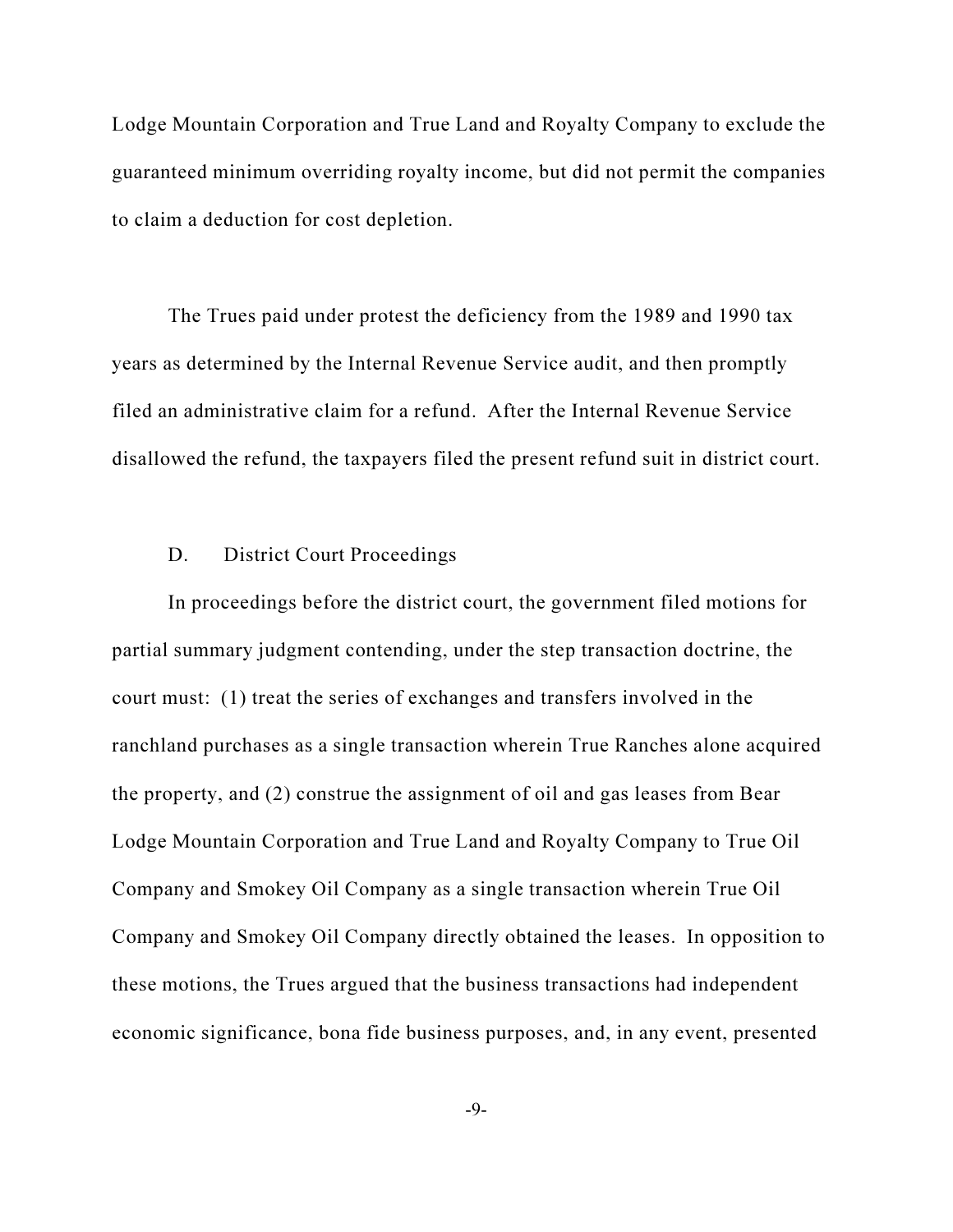Lodge Mountain Corporation and True Land and Royalty Company to exclude the guaranteed minimum overriding royalty income, but did not permit the companies to claim a deduction for cost depletion.

The Trues paid under protest the deficiency from the 1989 and 1990 tax years as determined by the Internal Revenue Service audit, and then promptly filed an administrative claim for a refund. After the Internal Revenue Service disallowed the refund, the taxpayers filed the present refund suit in district court.

#### D. District Court Proceedings

In proceedings before the district court, the government filed motions for partial summary judgment contending, under the step transaction doctrine, the court must: (1) treat the series of exchanges and transfers involved in the ranchland purchases as a single transaction wherein True Ranches alone acquired the property, and (2) construe the assignment of oil and gas leases from Bear Lodge Mountain Corporation and True Land and Royalty Company to True Oil Company and Smokey Oil Company as a single transaction wherein True Oil Company and Smokey Oil Company directly obtained the leases. In opposition to these motions, the Trues argued that the business transactions had independent economic significance, bona fide business purposes, and, in any event, presented

-9-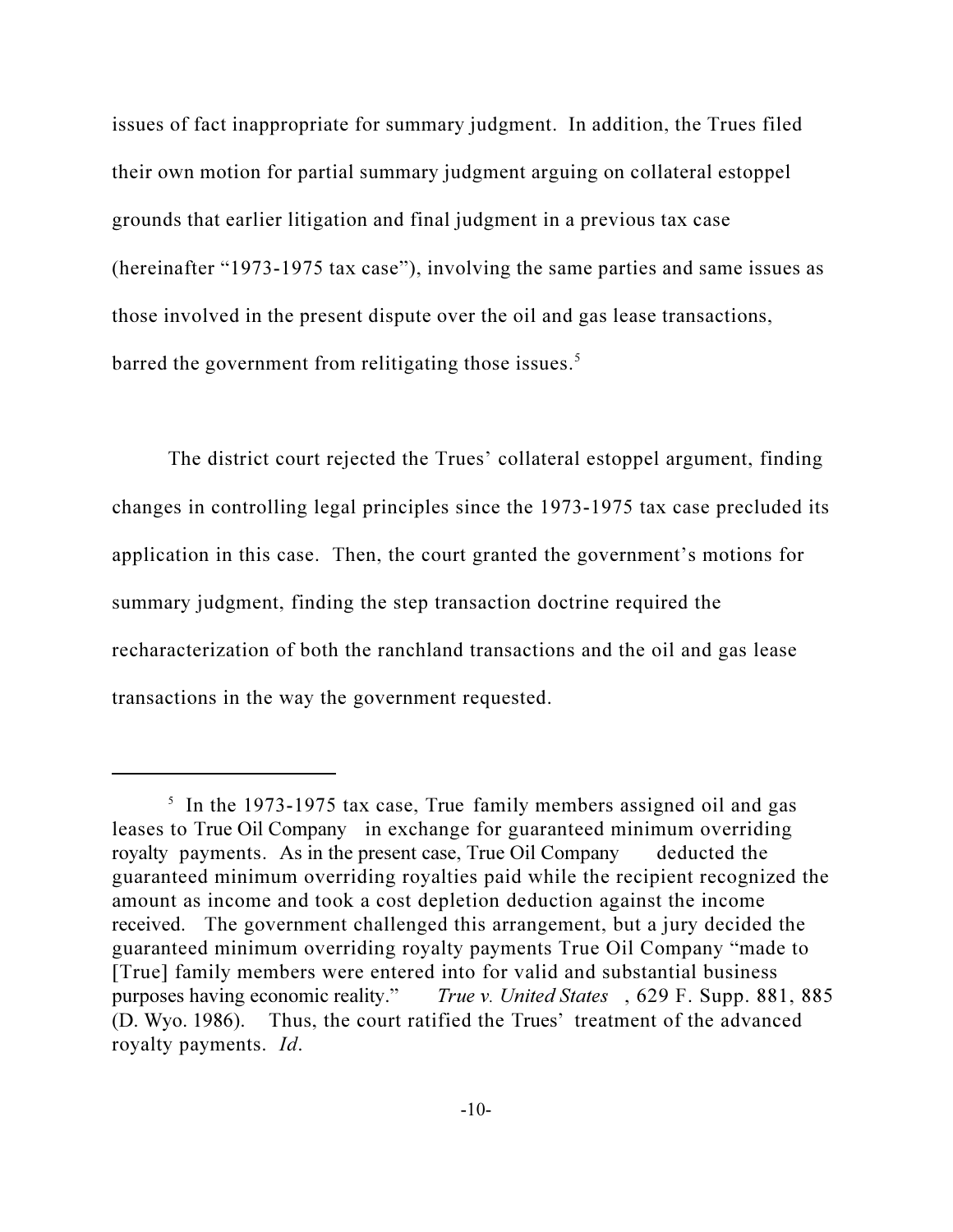issues of fact inappropriate for summary judgment. In addition, the Trues filed their own motion for partial summary judgment arguing on collateral estoppel grounds that earlier litigation and final judgment in a previous tax case (hereinafter "1973-1975 tax case"), involving the same parties and same issues as those involved in the present dispute over the oil and gas lease transactions, barred the government from relitigating those issues.<sup>5</sup>

The district court rejected the Trues' collateral estoppel argument, finding changes in controlling legal principles since the 1973-1975 tax case precluded its application in this case. Then, the court granted the government's motions for summary judgment, finding the step transaction doctrine required the recharacterization of both the ranchland transactions and the oil and gas lease transactions in the way the government requested.

<sup>&</sup>lt;sup>5</sup> In the 1973-1975 tax case, True family members assigned oil and gas leases to True Oil Company in exchange for guaranteed minimum overriding royalty payments. As in the present case, True Oil Company deducted the guaranteed minimum overriding royalties paid while the recipient recognized the amount as income and took a cost depletion deduction against the income received. The government challenged this arrangement, but a jury decided the guaranteed minimum overriding royalty payments True Oil Company "made to [True] family members were entered into for valid and substantial business purposes having economic reality." True v. United States , 629 F. Supp. 881, 885 (D. Wyo. 1986). Thus, the court ratified the Trues' treatment of the advanced royalty payments. Id.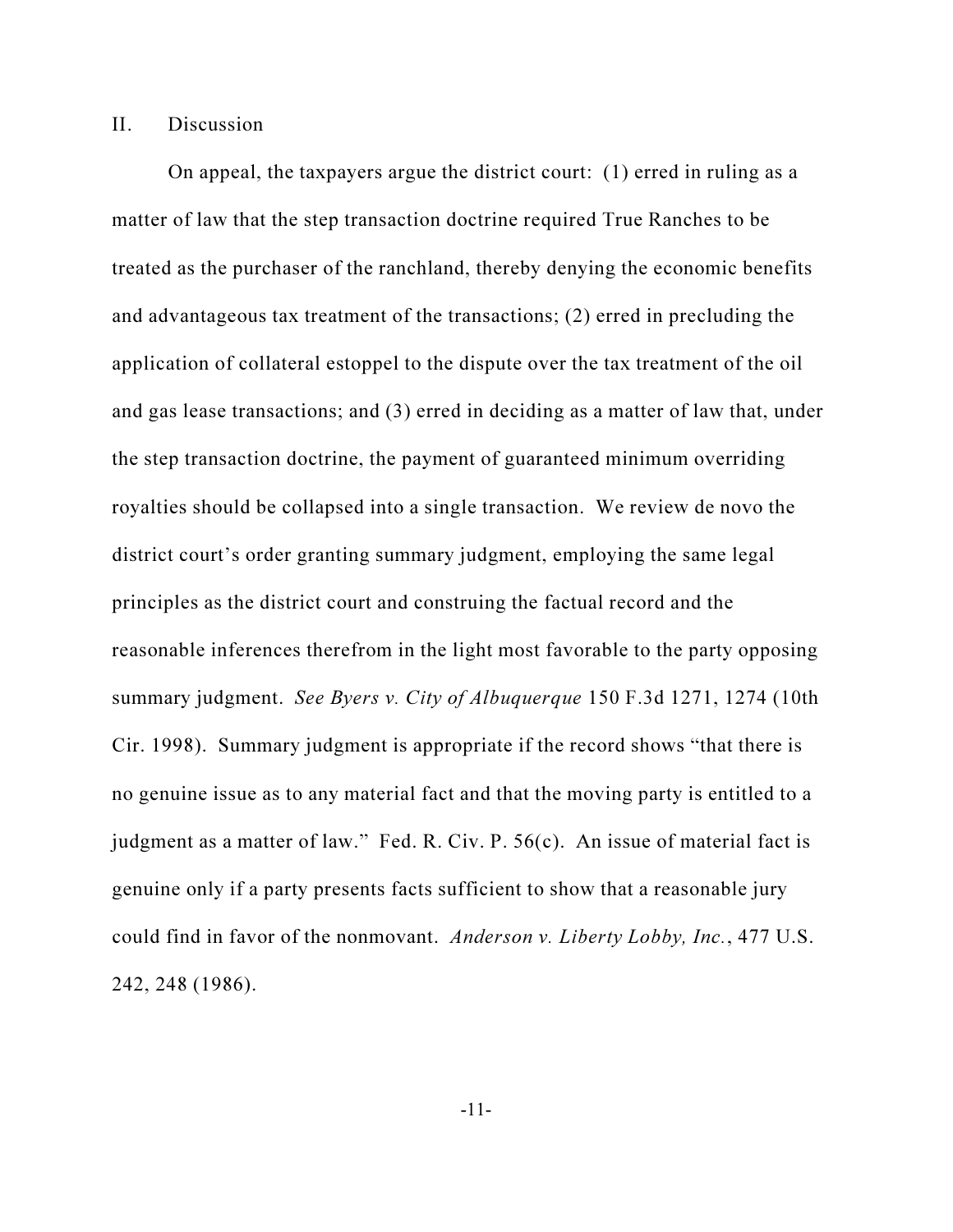#### II. Discussion

On appeal, the taxpayers argue the district court: (1) erred in ruling as a matter of law that the step transaction doctrine required True Ranches to be treated as the purchaser of the ranchland, thereby denying the economic benefits and advantageous tax treatment of the transactions; (2) erred in precluding the application of collateral estoppel to the dispute over the tax treatment of the oil and gas lease transactions; and (3) erred in deciding as a matter of law that, under the step transaction doctrine, the payment of guaranteed minimum overriding royalties should be collapsed into a single transaction. We review de novo the district court's order granting summary judgment, employing the same legal principles as the district court and construing the factual record and the reasonable inferences therefrom in the light most favorable to the party opposing summary judgment. See Byers v. City of Albuquerque 150 F.3d 1271, 1274 (10th Cir. 1998). Summary judgment is appropriate if the record shows "that there is no genuine issue as to any material fact and that the moving party is entitled to a judgment as a matter of law." Fed. R. Civ. P. 56(c). An issue of material fact is genuine only if a party presents facts sufficient to show that a reasonable jury could find in favor of the nonmovant. Anderson v. Liberty Lobby, Inc., 477 U.S. 242, 248 (1986).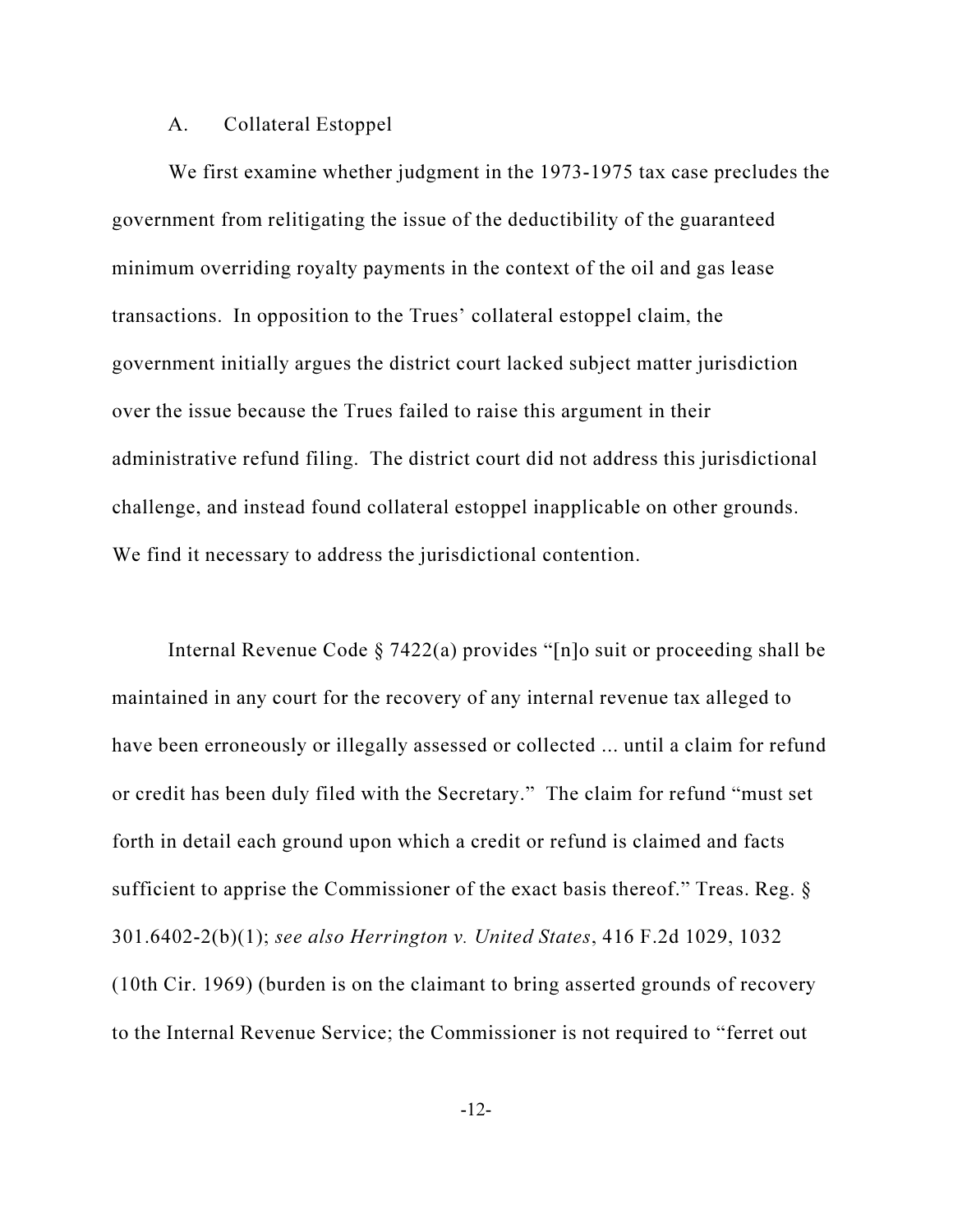#### A. Collateral Estoppel

We first examine whether judgment in the 1973-1975 tax case precludes the government from relitigating the issue of the deductibility of the guaranteed minimum overriding royalty payments in the context of the oil and gas lease transactions. In opposition to the Trues' collateral estoppel claim, the government initially argues the district court lacked subject matter jurisdiction over the issue because the Trues failed to raise this argument in their administrative refund filing. The district court did not address this jurisdictional challenge, and instead found collateral estoppel inapplicable on other grounds. We find it necessary to address the jurisdictional contention.

Internal Revenue Code § 7422(a) provides "[n]o suit or proceeding shall be maintained in any court for the recovery of any internal revenue tax alleged to have been erroneously or illegally assessed or collected ... until a claim for refund or credit has been duly filed with the Secretary." The claim for refund "must set forth in detail each ground upon which a credit or refund is claimed and facts sufficient to apprise the Commissioner of the exact basis thereof." Treas. Reg. § 301.6402-2(b)(1); see also Herrington v. United States, 416 F.2d 1029, 1032 (10th Cir. 1969) (burden is on the claimant to bring asserted grounds of recovery to the Internal Revenue Service; the Commissioner is not required to "ferret out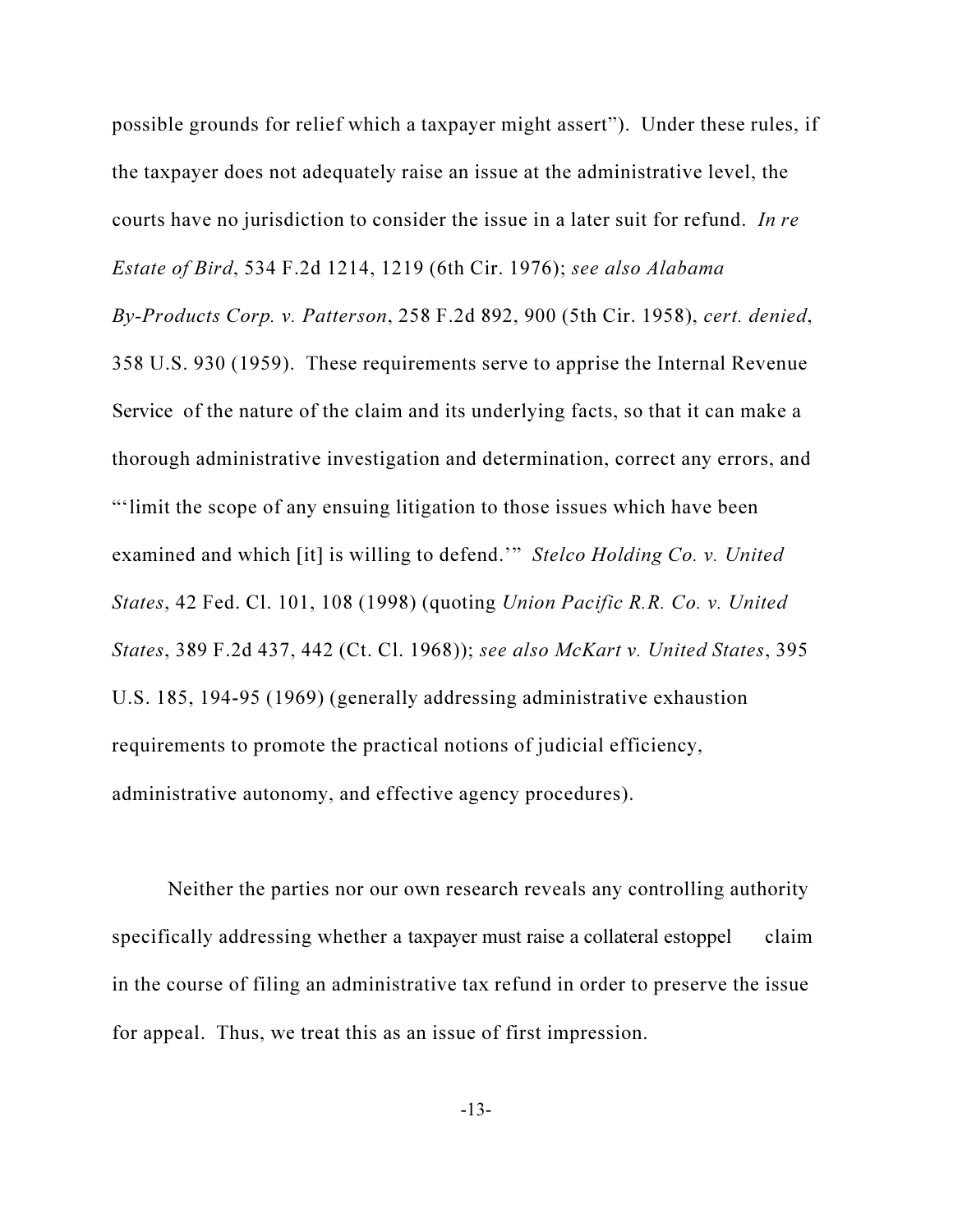possible grounds for relief which a taxpayer might assert"). Under these rules, if the taxpayer does not adequately raise an issue at the administrative level, the courts have no jurisdiction to consider the issue in a later suit for refund. In re Estate of Bird, 534 F.2d 1214, 1219 (6th Cir. 1976); see also Alabama By-Products Corp. v. Patterson, 258 F.2d 892, 900 (5th Cir. 1958), cert. denied, 358 U.S. 930 (1959). These requirements serve to apprise the Internal Revenue Service of the nature of the claim and its underlying facts, so that it can make a thorough administrative investigation and determination, correct any errors, and "'limit the scope of any ensuing litigation to those issues which have been examined and which [it] is willing to defend.'" Stelco Holding Co. v. United States, 42 Fed. Cl. 101, 108 (1998) (quoting Union Pacific R.R. Co. v. United States, 389 F.2d 437, 442 (Ct. Cl. 1968)); see also McKart v. United States, 395 U.S. 185, 194-95 (1969) (generally addressing administrative exhaustion requirements to promote the practical notions of judicial efficiency, administrative autonomy, and effective agency procedures).

Neither the parties nor our own research reveals any controlling authority specifically addressing whether a taxpayer must raise a collateral estoppel claim in the course of filing an administrative tax refund in order to preserve the issue for appeal. Thus, we treat this as an issue of first impression.

-13-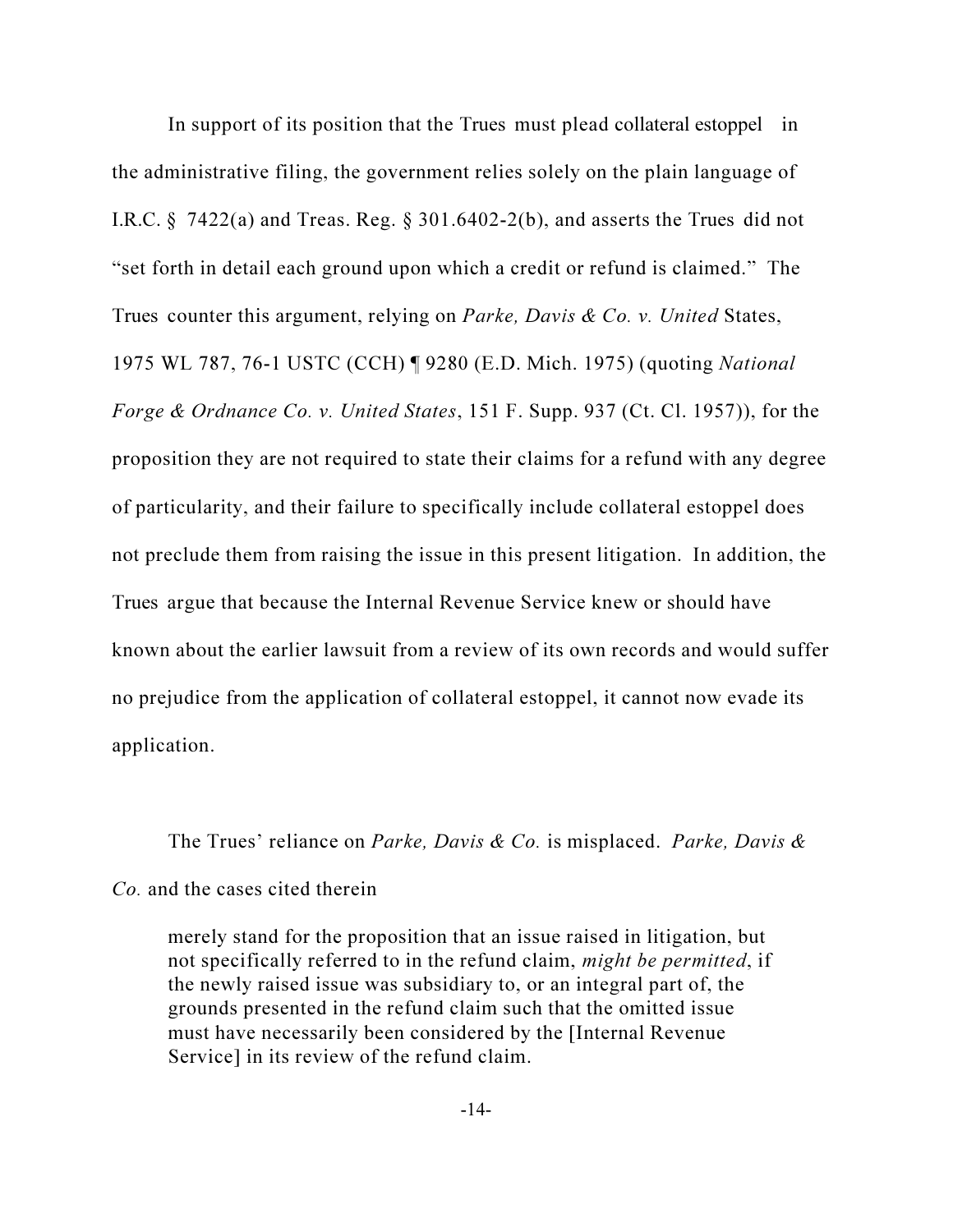In support of its position that the Trues must plead collateral estoppel in the administrative filing, the government relies solely on the plain language of I.R.C.  $\S$  7422(a) and Treas. Reg.  $\S$  301.6402-2(b), and asserts the Trues did not "set forth in detail each ground upon which a credit or refund is claimed." The Trues counter this argument, relying on *Parke, Davis & Co. v. United* States, 1975 WL 787, 76-1 USTC (CCH) ¶ 9280 (E.D. Mich. 1975) (quoting National Forge & Ordnance Co. v. United States, 151 F. Supp. 937 (Ct. Cl. 1957)), for the proposition they are not required to state their claims for a refund with any degree of particularity, and their failure to specifically include collateral estoppel does not preclude them from raising the issue in this present litigation. In addition, the Trues argue that because the Internal Revenue Service knew or should have known about the earlier lawsuit from a review of its own records and would suffer no prejudice from the application of collateral estoppel, it cannot now evade its application.

The Trues' reliance on Parke, Davis & Co. is misplaced. Parke, Davis & Co. and the cases cited therein

merely stand for the proposition that an issue raised in litigation, but not specifically referred to in the refund claim, might be permitted, if the newly raised issue was subsidiary to, or an integral part of, the grounds presented in the refund claim such that the omitted issue must have necessarily been considered by the [Internal Revenue Service] in its review of the refund claim.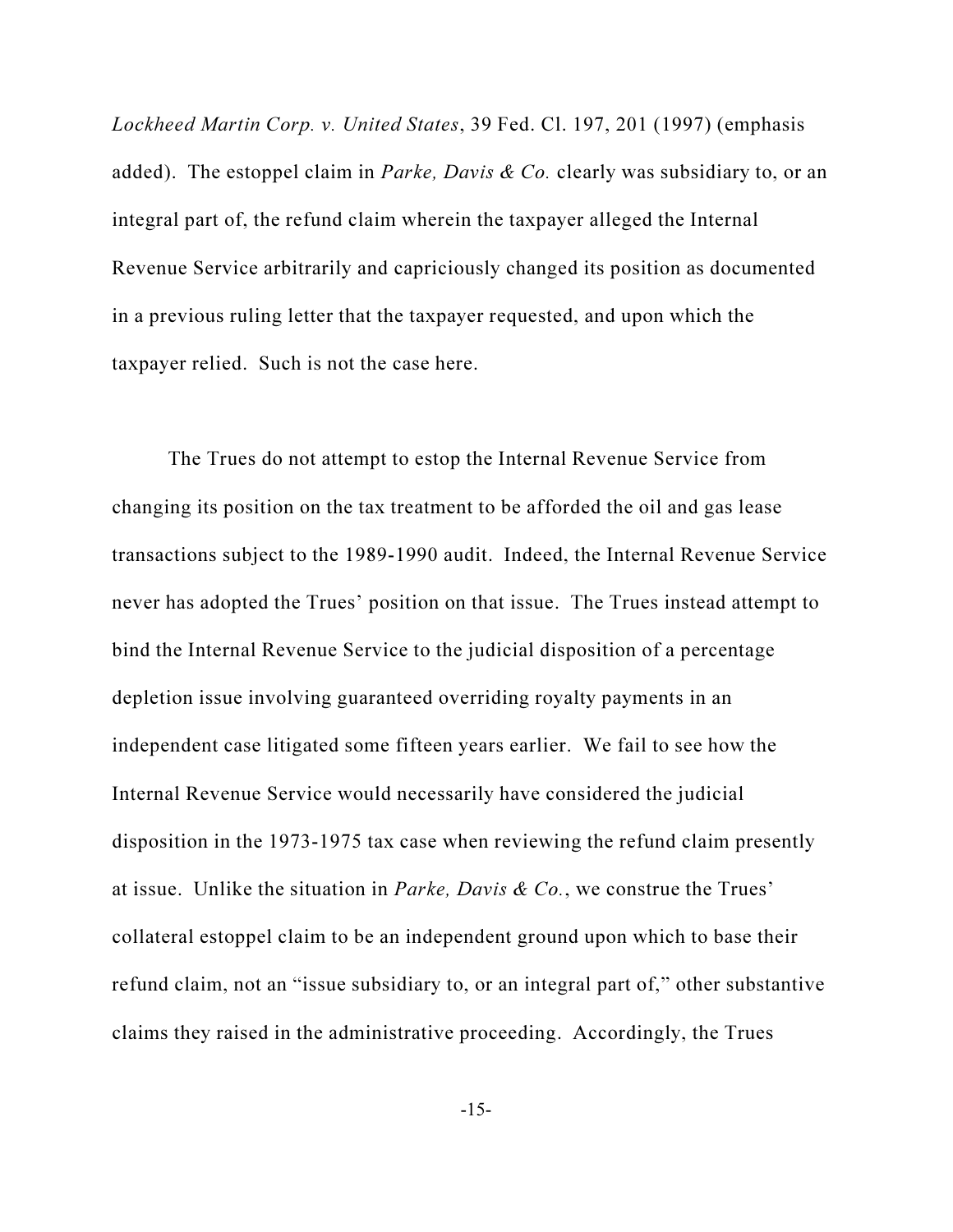Lockheed Martin Corp. v. United States, 39 Fed. Cl. 197, 201 (1997) (emphasis added). The estoppel claim in *Parke, Davis & Co.* clearly was subsidiary to, or an integral part of, the refund claim wherein the taxpayer alleged the Internal Revenue Service arbitrarily and capriciously changed its position as documented in a previous ruling letter that the taxpayer requested, and upon which the taxpayer relied. Such is not the case here.

The Trues do not attempt to estop the Internal Revenue Service from changing its position on the tax treatment to be afforded the oil and gas lease transactions subject to the 1989-1990 audit. Indeed, the Internal Revenue Service never has adopted the Trues' position on that issue. The Trues instead attempt to bind the Internal Revenue Service to the judicial disposition of a percentage depletion issue involving guaranteed overriding royalty payments in an independent case litigated some fifteen years earlier. We fail to see how the Internal Revenue Service would necessarily have considered the judicial disposition in the 1973-1975 tax case when reviewing the refund claim presently at issue. Unlike the situation in Parke, Davis & Co., we construe the Trues' collateral estoppel claim to be an independent ground upon which to base their refund claim, not an "issue subsidiary to, or an integral part of," other substantive claims they raised in the administrative proceeding. Accordingly, the Trues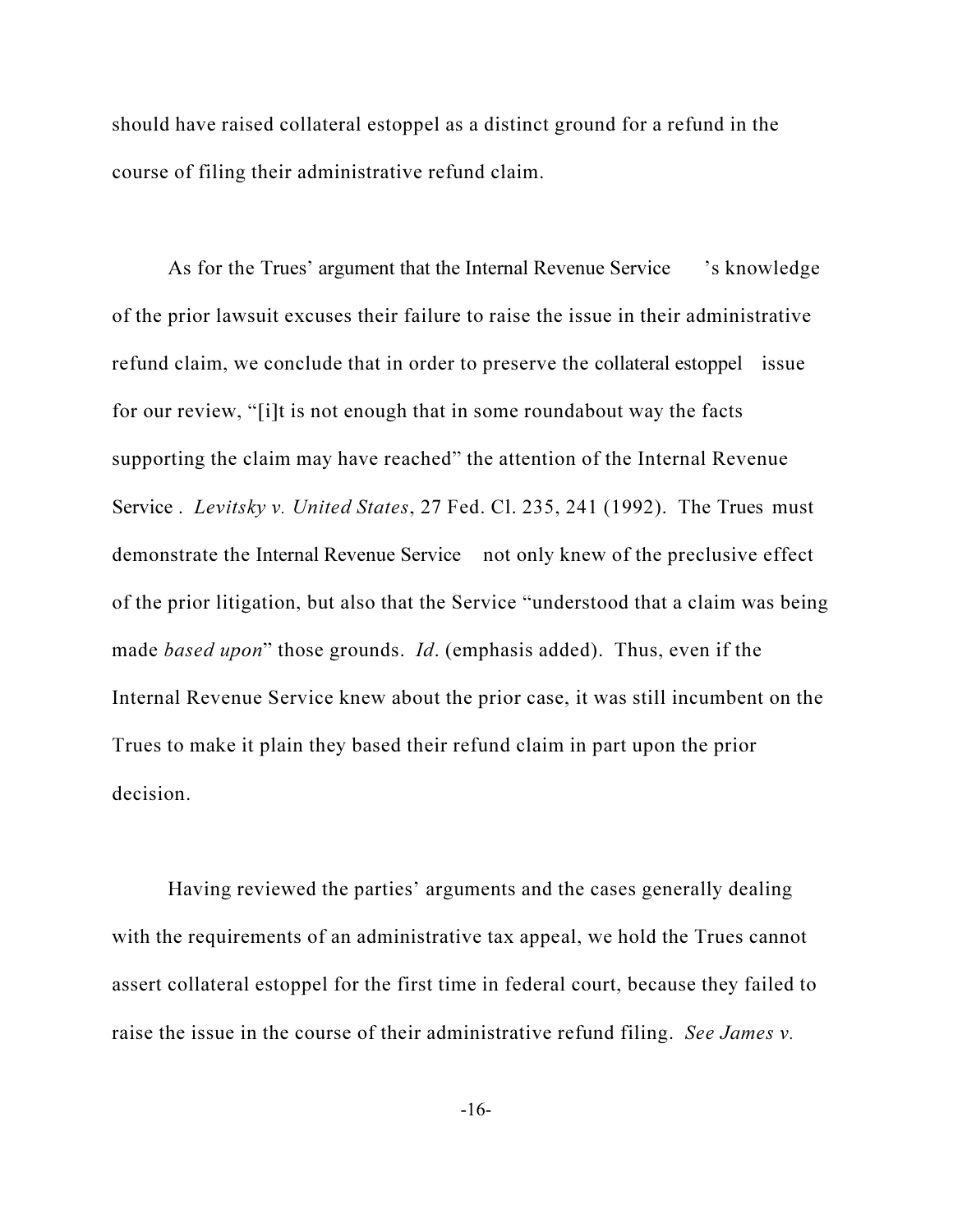should have raised collateral estoppel as a distinct ground for a refund in the course of filing their administrative refund claim.

As for the Trues' argument that the Internal Revenue Service 's knowledge of the prior lawsuit excuses their failure to raise the issue in their administrative refund claim, we conclude that in order to preserve the collateral estoppel issue for our review, "[i]t is not enough that in some roundabout way the facts supporting the claim may have reached" the attention of the Internal Revenue Service . Levitsky v. United States, 27 Fed. Cl. 235, 241 (1992). The Trues must demonstrate the Internal Revenue Service not only knew of the preclusive effect of the prior litigation, but also that the Service "understood that a claim was being made *based upon*" those grounds. *Id.* (emphasis added). Thus, even if the Internal Revenue Service knew about the prior case, it was still incumbent on the Trues to make it plain they based their refund claim in part upon the prior decision.

Having reviewed the parties' arguments and the cases generally dealing with the requirements of an administrative tax appeal, we hold the Trues cannot assert collateral estoppel for the first time in federal court, because they failed to raise the issue in the course of their administrative refund filing. See James v.

-16-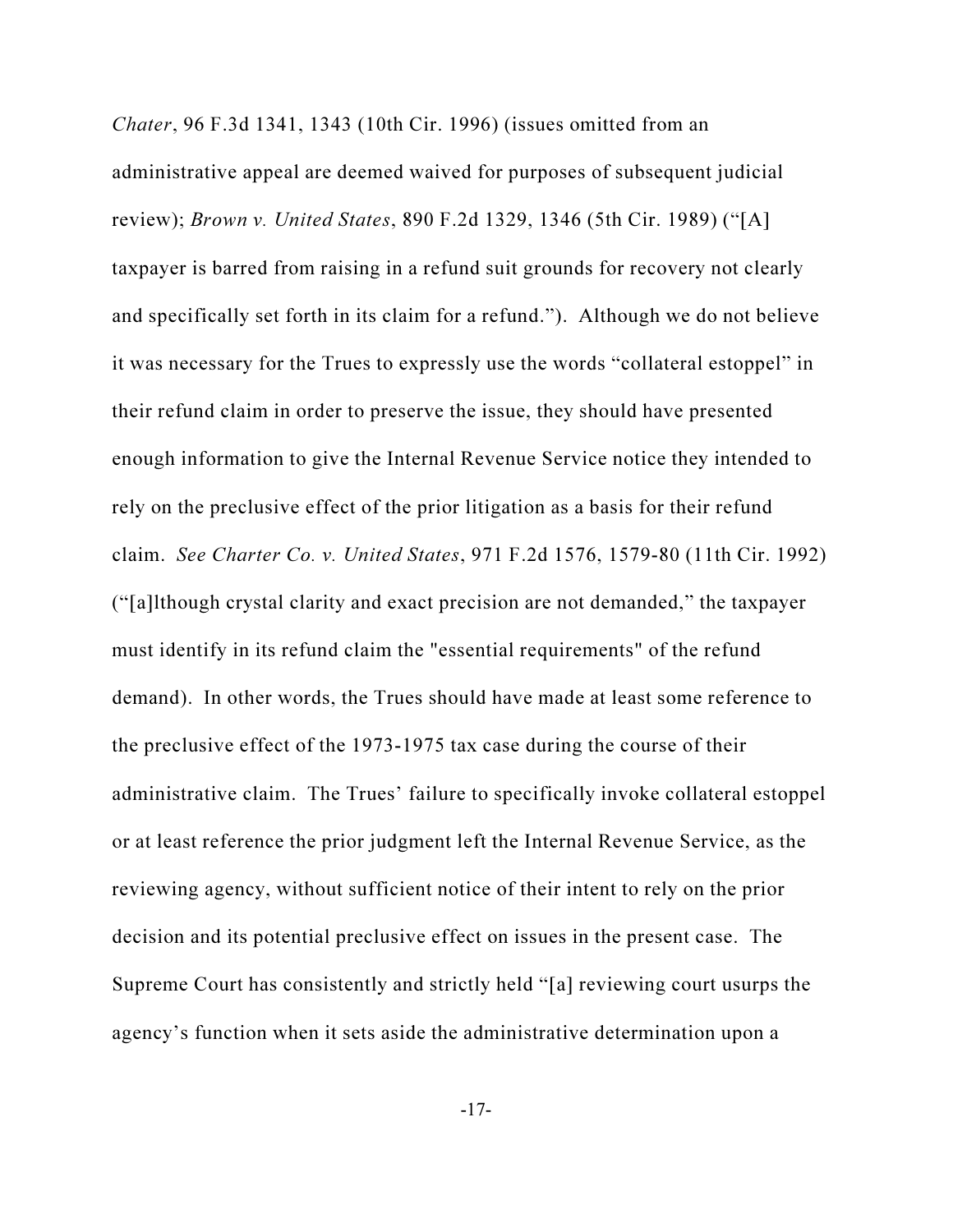Chater, 96 F.3d 1341, 1343 (10th Cir. 1996) (issues omitted from an administrative appeal are deemed waived for purposes of subsequent judicial review); Brown v. United States, 890 F.2d 1329, 1346 (5th Cir. 1989) ("[A] taxpayer is barred from raising in a refund suit grounds for recovery not clearly and specifically set forth in its claim for a refund."). Although we do not believe it was necessary for the Trues to expressly use the words "collateral estoppel" in their refund claim in order to preserve the issue, they should have presented enough information to give the Internal Revenue Service notice they intended to rely on the preclusive effect of the prior litigation as a basis for their refund claim. See Charter Co. v. United States, 971 F.2d 1576, 1579-80 (11th Cir. 1992) ("[a]lthough crystal clarity and exact precision are not demanded," the taxpayer must identify in its refund claim the "essential requirements" of the refund demand). In other words, the Trues should have made at least some reference to the preclusive effect of the 1973-1975 tax case during the course of their administrative claim. The Trues' failure to specifically invoke collateral estoppel or at least reference the prior judgment left the Internal Revenue Service, as the reviewing agency, without sufficient notice of their intent to rely on the prior decision and its potential preclusive effect on issues in the present case. The Supreme Court has consistently and strictly held "[a] reviewing court usurps the agency's function when it sets aside the administrative determination upon a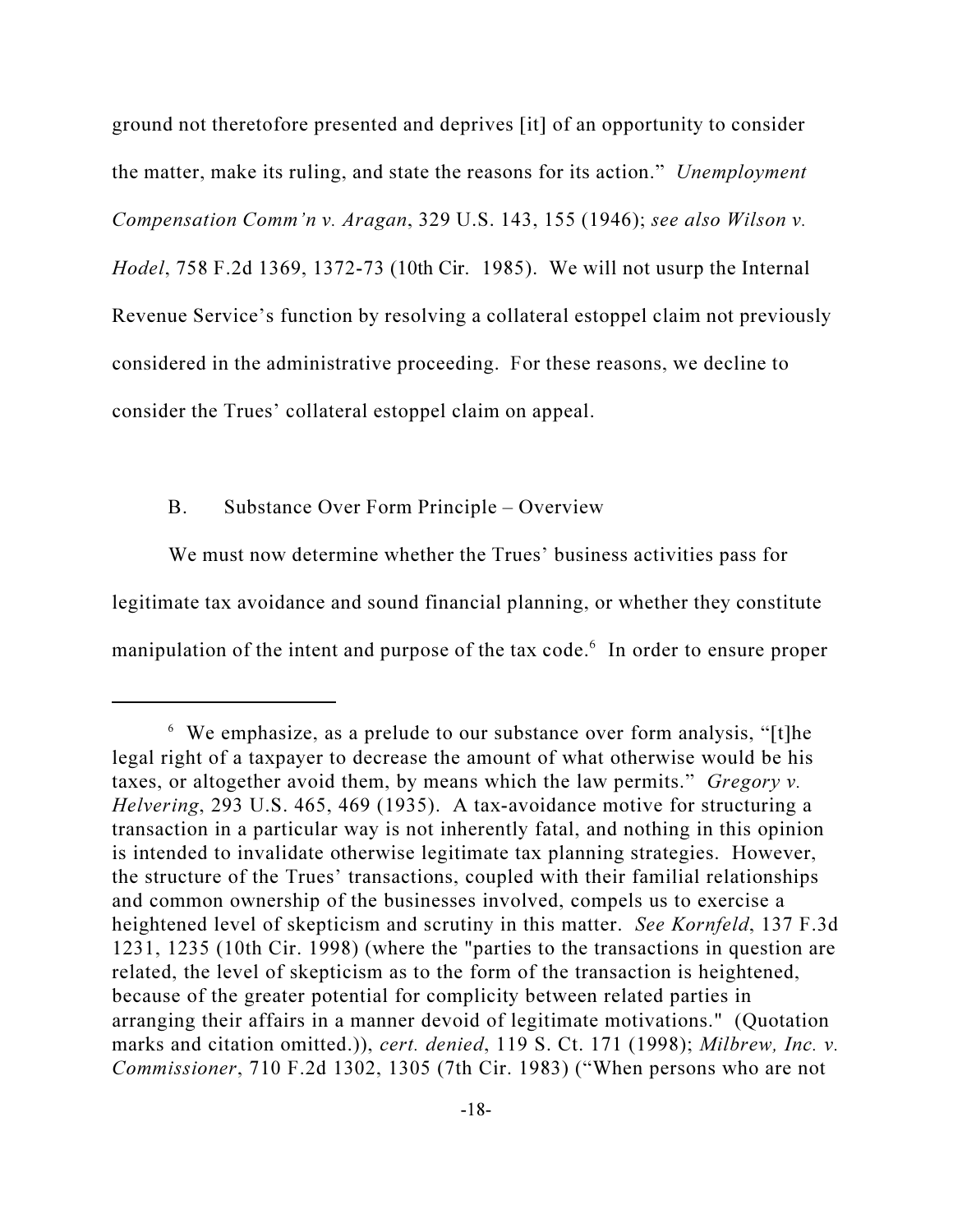ground not theretofore presented and deprives [it] of an opportunity to consider the matter, make its ruling, and state the reasons for its action." Unemployment Compensation Comm'n v. Aragan, 329 U.S. 143, 155 (1946); see also Wilson v. Hodel, 758 F.2d 1369, 1372-73 (10th Cir. 1985). We will not usurp the Internal Revenue Service's function by resolving a collateral estoppel claim not previously considered in the administrative proceeding. For these reasons, we decline to consider the Trues' collateral estoppel claim on appeal.

#### B. Substance Over Form Principle – Overview

We must now determine whether the Trues' business activities pass for legitimate tax avoidance and sound financial planning, or whether they constitute manipulation of the intent and purpose of the tax code.<sup>6</sup> In order to ensure proper

<sup>6</sup> We emphasize, as a prelude to our substance over form analysis, "[t]he legal right of a taxpayer to decrease the amount of what otherwise would be his taxes, or altogether avoid them, by means which the law permits." Gregory v. Helvering, 293 U.S. 465, 469 (1935). A tax-avoidance motive for structuring a transaction in a particular way is not inherently fatal, and nothing in this opinion is intended to invalidate otherwise legitimate tax planning strategies. However, the structure of the Trues' transactions, coupled with their familial relationships and common ownership of the businesses involved, compels us to exercise a heightened level of skepticism and scrutiny in this matter. See Kornfeld, 137 F.3d 1231, 1235 (10th Cir. 1998) (where the "parties to the transactions in question are related, the level of skepticism as to the form of the transaction is heightened, because of the greater potential for complicity between related parties in arranging their affairs in a manner devoid of legitimate motivations." (Quotation marks and citation omitted.)), cert. denied, 119 S. Ct. 171 (1998); Milbrew, Inc. v. Commissioner, 710 F.2d 1302, 1305 (7th Cir. 1983) ("When persons who are not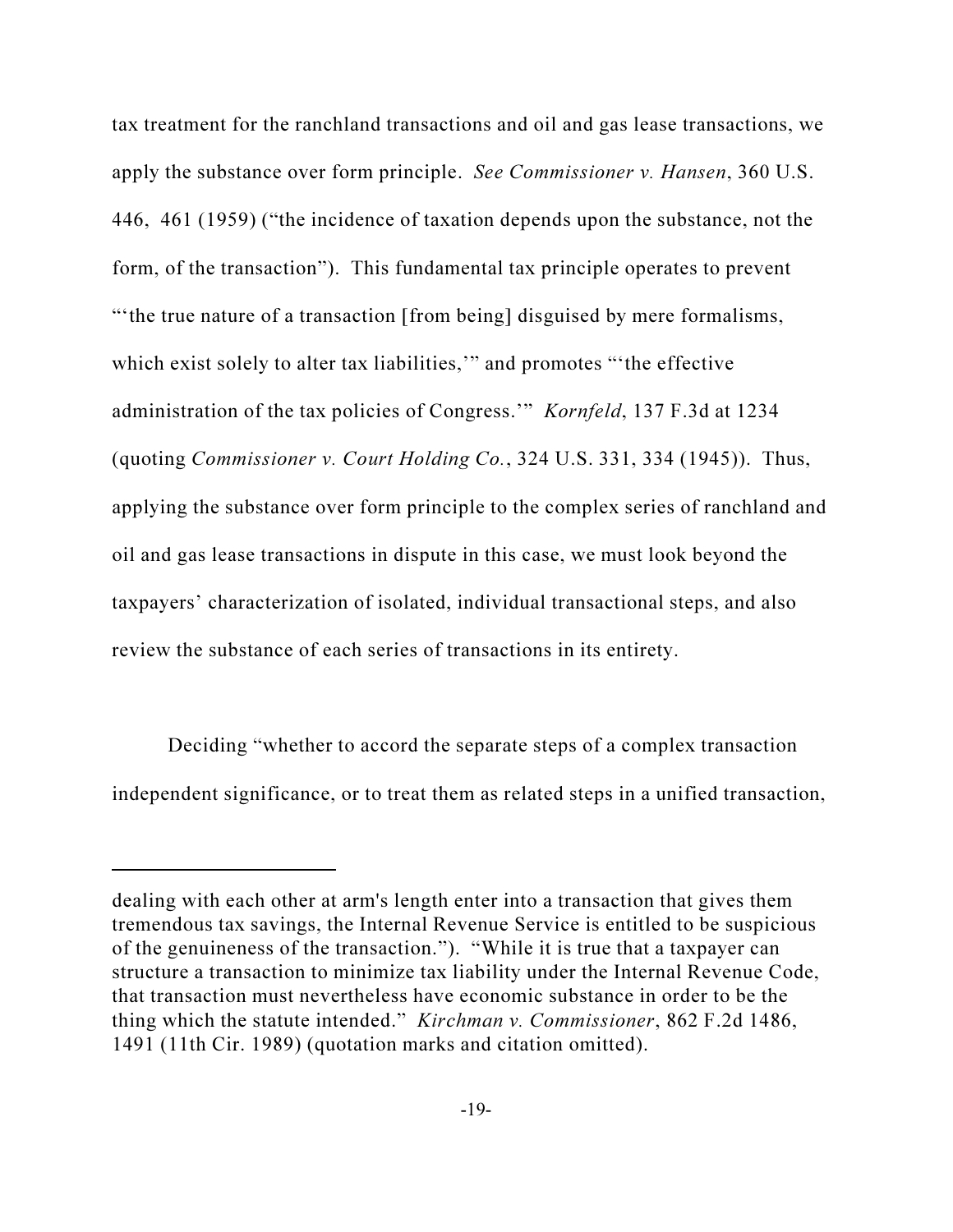tax treatment for the ranchland transactions and oil and gas lease transactions, we apply the substance over form principle. See Commissioner v. Hansen, 360 U.S. 446, 461 (1959) ("the incidence of taxation depends upon the substance, not the form, of the transaction"). This fundamental tax principle operates to prevent "'the true nature of a transaction [from being] disguised by mere formalisms, which exist solely to alter tax liabilities," and promotes "the effective administration of the tax policies of Congress.'" Kornfeld, 137 F.3d at 1234 (quoting Commissioner v. Court Holding Co., 324 U.S. 331, 334 (1945)). Thus, applying the substance over form principle to the complex series of ranchland and oil and gas lease transactions in dispute in this case, we must look beyond the taxpayers' characterization of isolated, individual transactional steps, and also review the substance of each series of transactions in its entirety.

Deciding "whether to accord the separate steps of a complex transaction independent significance, or to treat them as related steps in a unified transaction,

dealing with each other at arm's length enter into a transaction that gives them tremendous tax savings, the Internal Revenue Service is entitled to be suspicious of the genuineness of the transaction."). "While it is true that a taxpayer can structure a transaction to minimize tax liability under the Internal Revenue Code, that transaction must nevertheless have economic substance in order to be the thing which the statute intended." Kirchman v. Commissioner, 862 F.2d 1486, 1491 (11th Cir. 1989) (quotation marks and citation omitted).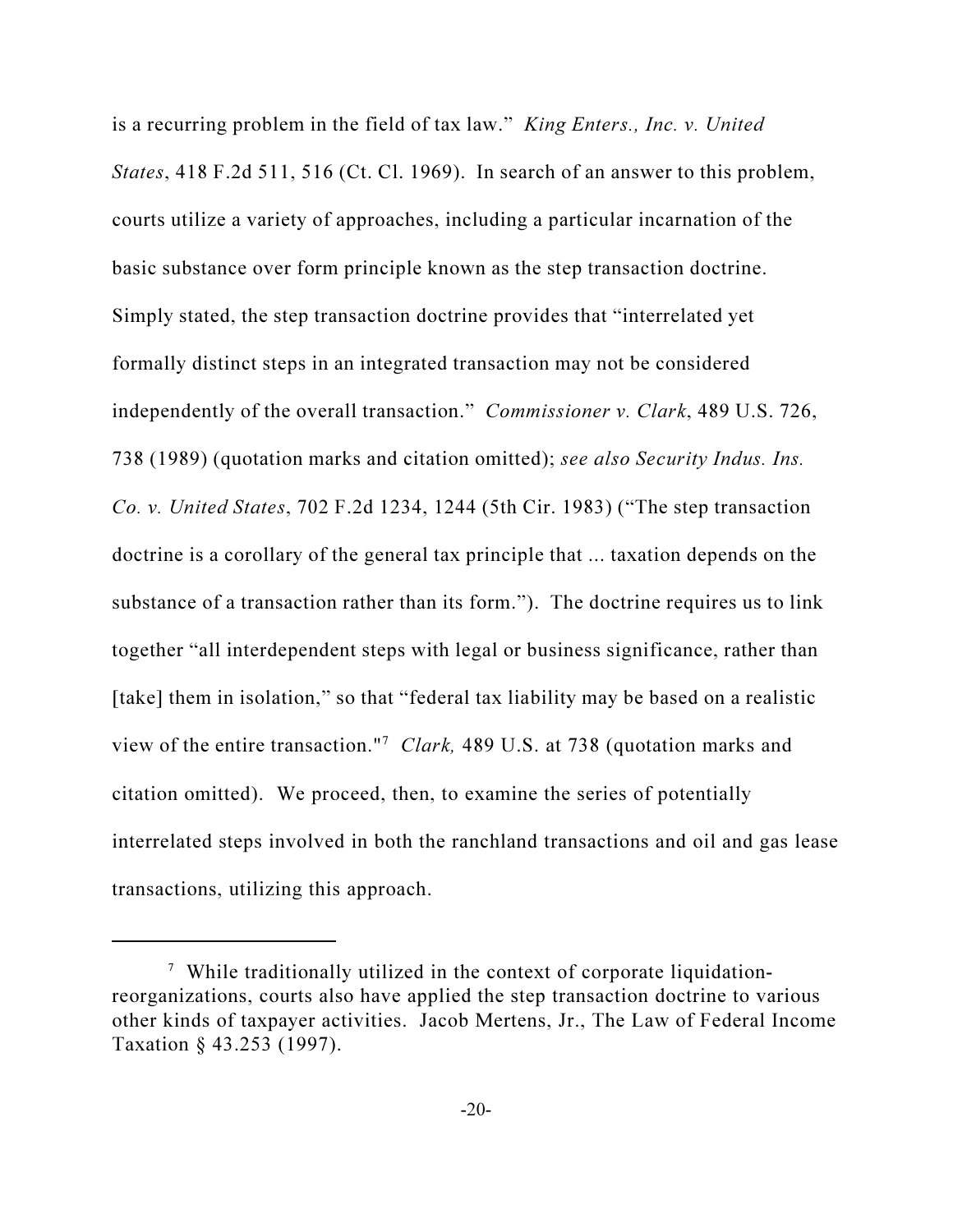is a recurring problem in the field of tax law." King Enters., Inc. v. United States, 418 F.2d 511, 516 (Ct. Cl. 1969). In search of an answer to this problem, courts utilize a variety of approaches, including a particular incarnation of the basic substance over form principle known as the step transaction doctrine. Simply stated, the step transaction doctrine provides that "interrelated yet formally distinct steps in an integrated transaction may not be considered independently of the overall transaction." Commissioner v. Clark, 489 U.S. 726, 738 (1989) (quotation marks and citation omitted); see also Security Indus. Ins. Co. v. United States, 702 F.2d 1234, 1244 (5th Cir. 1983) ("The step transaction doctrine is a corollary of the general tax principle that ... taxation depends on the substance of a transaction rather than its form."). The doctrine requires us to link together "all interdependent steps with legal or business significance, rather than [take] them in isolation," so that "federal tax liability may be based on a realistic view of the entire transaction."<sup>7</sup> Clark, 489 U.S. at 738 (quotation marks and citation omitted). We proceed, then, to examine the series of potentially interrelated steps involved in both the ranchland transactions and oil and gas lease transactions, utilizing this approach.

<sup>&</sup>lt;sup>7</sup> While traditionally utilized in the context of corporate liquidationreorganizations, courts also have applied the step transaction doctrine to various other kinds of taxpayer activities. Jacob Mertens, Jr., The Law of Federal Income Taxation § 43.253 (1997).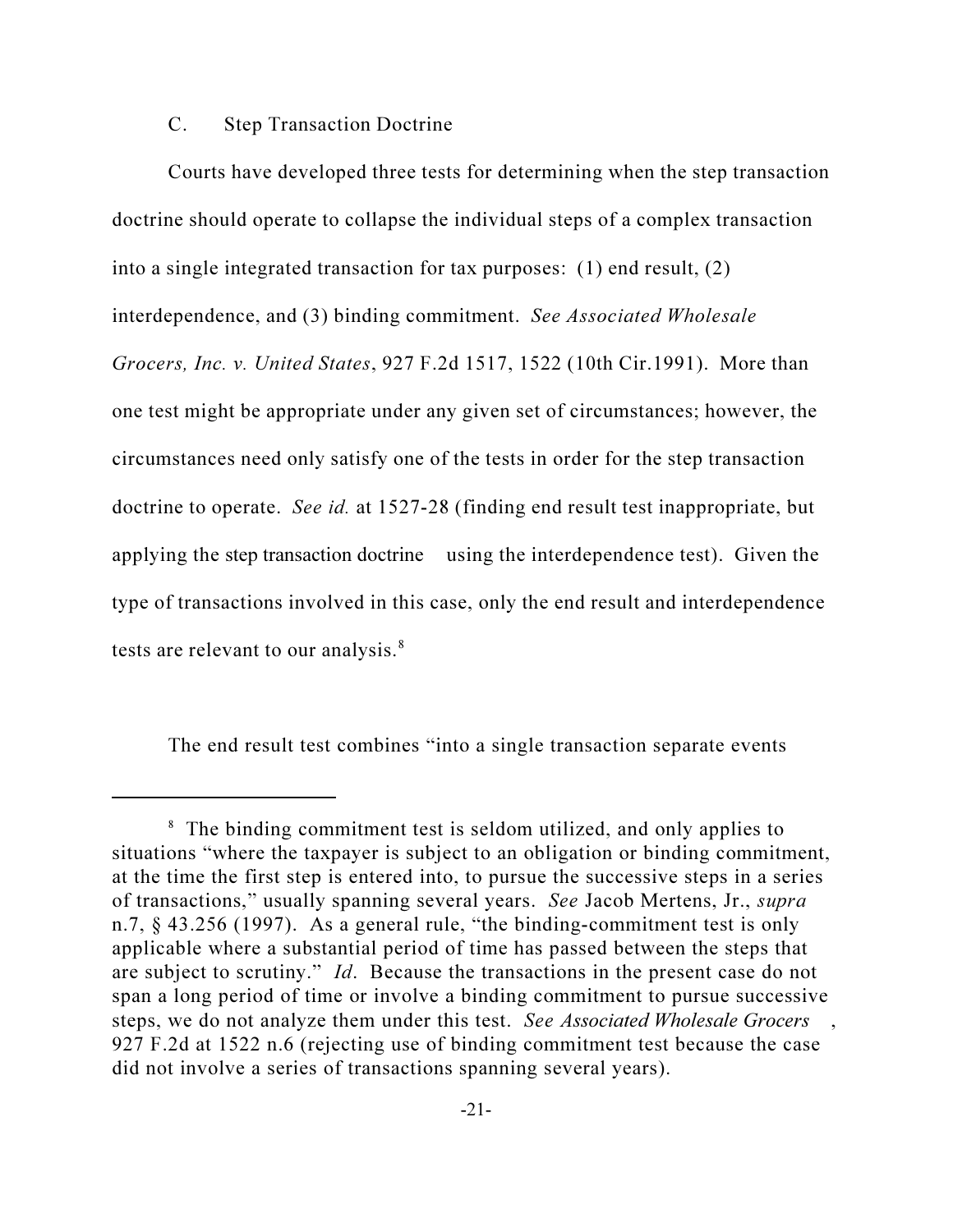#### C. Step Transaction Doctrine

Courts have developed three tests for determining when the step transaction doctrine should operate to collapse the individual steps of a complex transaction into a single integrated transaction for tax purposes: (1) end result, (2) interdependence, and (3) binding commitment. See Associated Wholesale Grocers, Inc. v. United States, 927 F.2d 1517, 1522 (10th Cir.1991). More than one test might be appropriate under any given set of circumstances; however, the circumstances need only satisfy one of the tests in order for the step transaction doctrine to operate. See id. at 1527-28 (finding end result test inappropriate, but applying the step transaction doctrine using the interdependence test). Given the type of transactions involved in this case, only the end result and interdependence tests are relevant to our analysis.<sup>8</sup>

The end result test combines "into a single transaction separate events

<sup>&</sup>lt;sup>8</sup> The binding commitment test is seldom utilized, and only applies to situations "where the taxpayer is subject to an obligation or binding commitment, at the time the first step is entered into, to pursue the successive steps in a series of transactions," usually spanning several years. See Jacob Mertens, Jr., supra n.7, § 43.256 (1997). As a general rule, "the binding-commitment test is only applicable where a substantial period of time has passed between the steps that are subject to scrutiny." Id. Because the transactions in the present case do not span a long period of time or involve a binding commitment to pursue successive steps, we do not analyze them under this test. See Associated Wholesale Grocers 927 F.2d at 1522 n.6 (rejecting use of binding commitment test because the case did not involve a series of transactions spanning several years).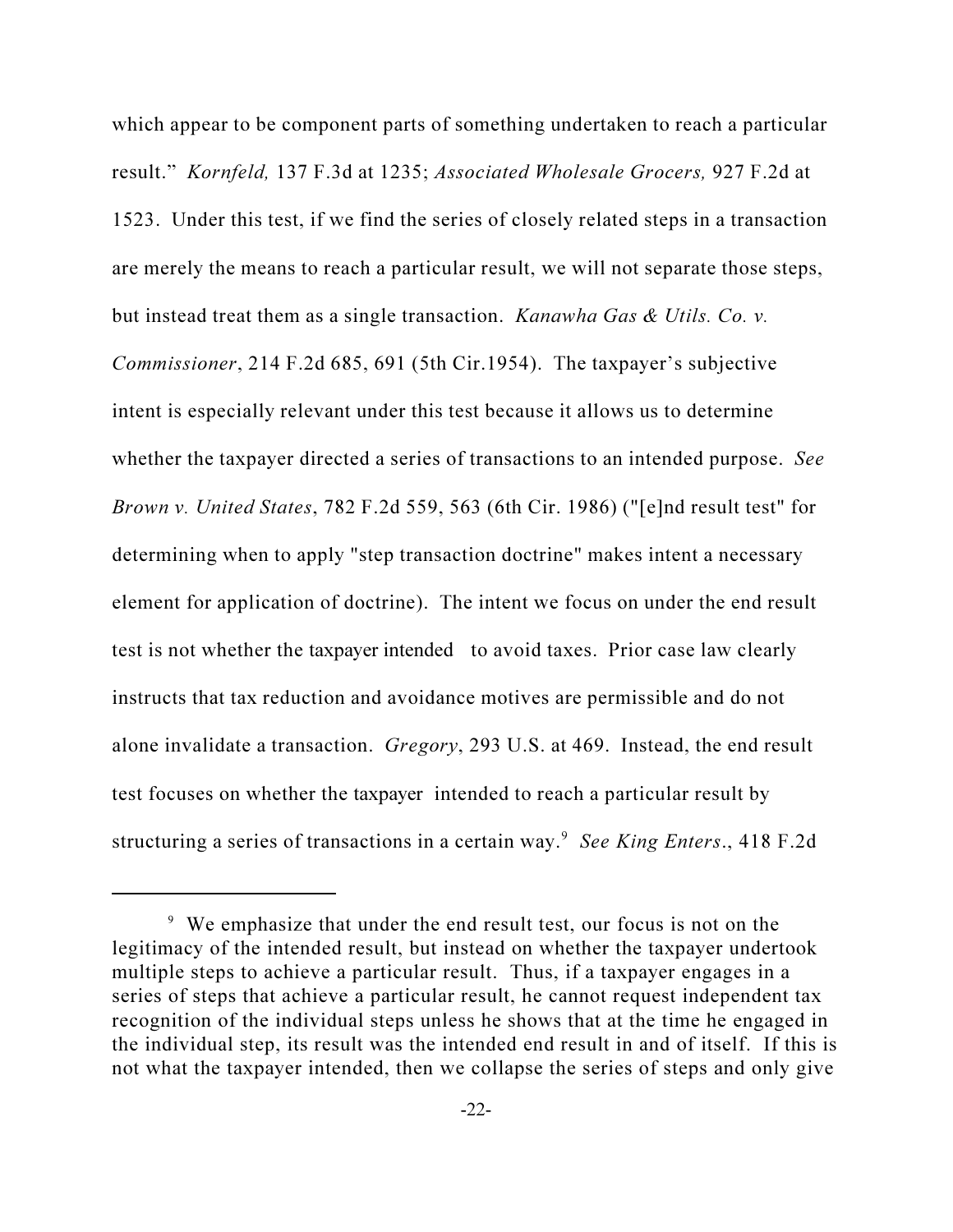which appear to be component parts of something undertaken to reach a particular result." Kornfeld, 137 F.3d at 1235; Associated Wholesale Grocers, 927 F.2d at 1523. Under this test, if we find the series of closely related steps in a transaction are merely the means to reach a particular result, we will not separate those steps, but instead treat them as a single transaction. Kanawha Gas & Utils. Co. v. Commissioner, 214 F.2d 685, 691 (5th Cir.1954). The taxpayer's subjective intent is especially relevant under this test because it allows us to determine whether the taxpayer directed a series of transactions to an intended purpose. See Brown v. United States, 782 F.2d 559, 563 (6th Cir. 1986) ("[e]nd result test" for determining when to apply "step transaction doctrine" makes intent a necessary element for application of doctrine). The intent we focus on under the end result test is not whether the taxpayer intended to avoid taxes. Prior case law clearly instructs that tax reduction and avoidance motives are permissible and do not alone invalidate a transaction. Gregory, 293 U.S. at 469. Instead, the end result test focuses on whether the taxpayer intended to reach a particular result by structuring a series of transactions in a certain way.<sup>9</sup> See King Enters., 418 F.2d

<sup>&</sup>lt;sup>9</sup> We emphasize that under the end result test, our focus is not on the legitimacy of the intended result, but instead on whether the taxpayer undertook multiple steps to achieve a particular result. Thus, if a taxpayer engages in a series of steps that achieve a particular result, he cannot request independent tax recognition of the individual steps unless he shows that at the time he engaged in the individual step, its result was the intended end result in and of itself. If this is not what the taxpayer intended, then we collapse the series of steps and only give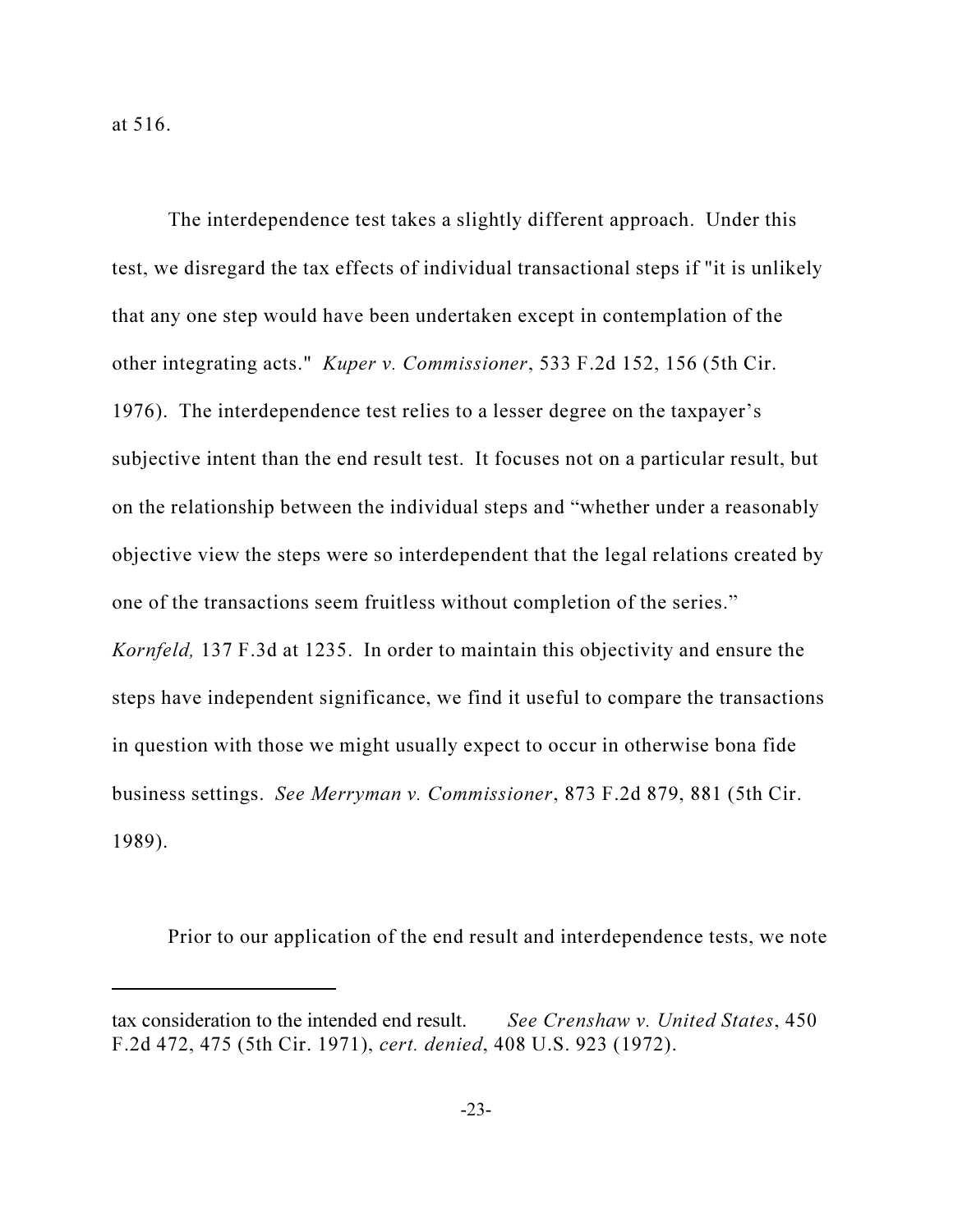at 516.

The interdependence test takes a slightly different approach. Under this test, we disregard the tax effects of individual transactional steps if "it is unlikely that any one step would have been undertaken except in contemplation of the other integrating acts." Kuper v. Commissioner, 533 F.2d 152, 156 (5th Cir. 1976). The interdependence test relies to a lesser degree on the taxpayer's subjective intent than the end result test. It focuses not on a particular result, but on the relationship between the individual steps and "whether under a reasonably objective view the steps were so interdependent that the legal relations created by one of the transactions seem fruitless without completion of the series." Kornfeld, 137 F.3d at 1235. In order to maintain this objectivity and ensure the steps have independent significance, we find it useful to compare the transactions in question with those we might usually expect to occur in otherwise bona fide business settings. See Merryman v. Commissioner, 873 F.2d 879, 881 (5th Cir. 1989).

Prior to our application of the end result and interdependence tests, we note

tax consideration to the intended end result. See Crenshaw v. United States, 450 F.2d 472, 475 (5th Cir. 1971), cert. denied, 408 U.S. 923 (1972).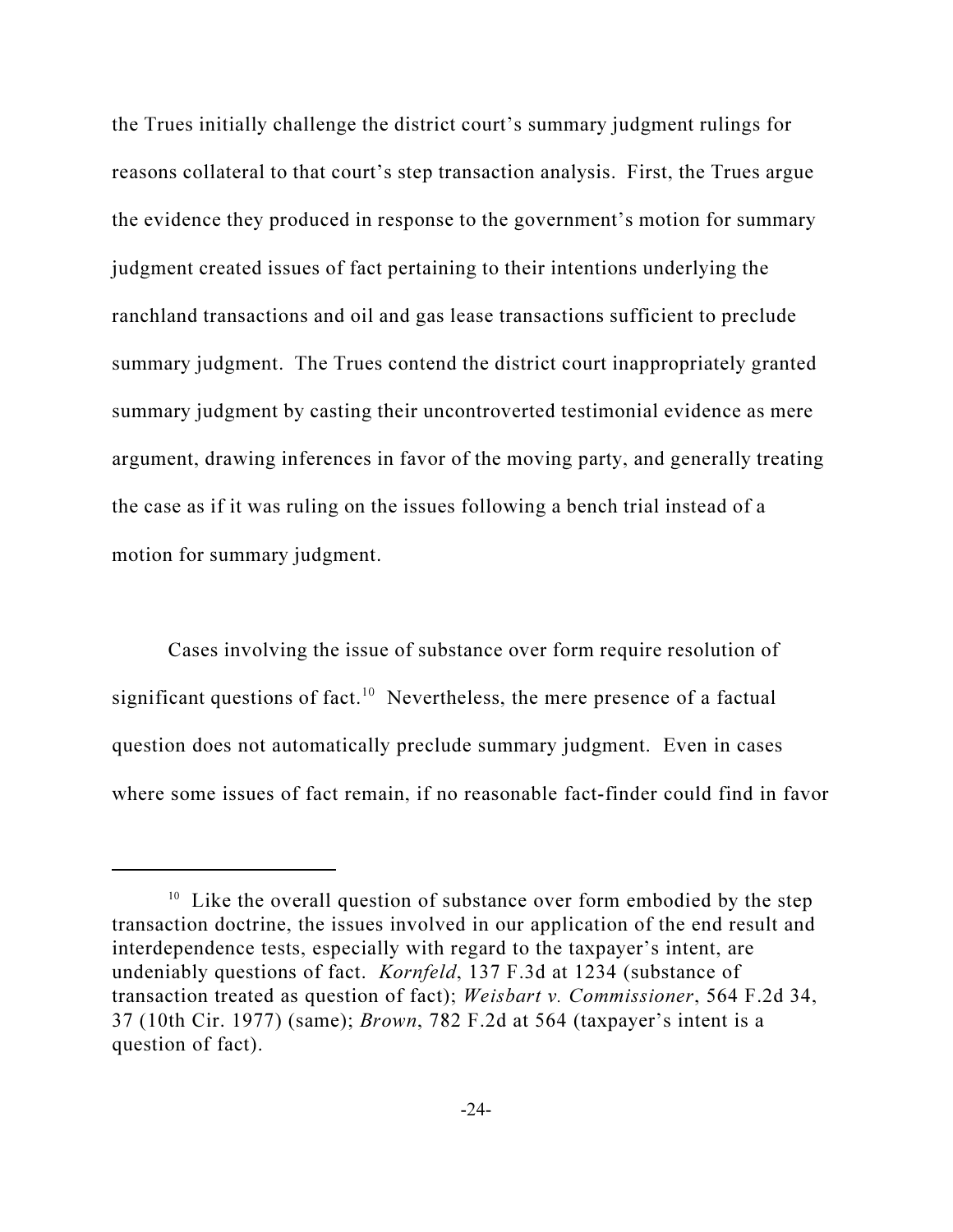the Trues initially challenge the district court's summary judgment rulings for reasons collateral to that court's step transaction analysis. First, the Trues argue the evidence they produced in response to the government's motion for summary judgment created issues of fact pertaining to their intentions underlying the ranchland transactions and oil and gas lease transactions sufficient to preclude summary judgment. The Trues contend the district court inappropriately granted summary judgment by casting their uncontroverted testimonial evidence as mere argument, drawing inferences in favor of the moving party, and generally treating the case as if it was ruling on the issues following a bench trial instead of a motion for summary judgment.

Cases involving the issue of substance over form require resolution of significant questions of fact.<sup>10</sup> Nevertheless, the mere presence of a factual question does not automatically preclude summary judgment. Even in cases where some issues of fact remain, if no reasonable fact-finder could find in favor

 $10$  Like the overall question of substance over form embodied by the step transaction doctrine, the issues involved in our application of the end result and interdependence tests, especially with regard to the taxpayer's intent, are undeniably questions of fact. Kornfeld, 137 F.3d at 1234 (substance of transaction treated as question of fact); Weisbart v. Commissioner, 564 F.2d 34, 37 (10th Cir. 1977) (same); Brown, 782 F.2d at 564 (taxpayer's intent is a question of fact).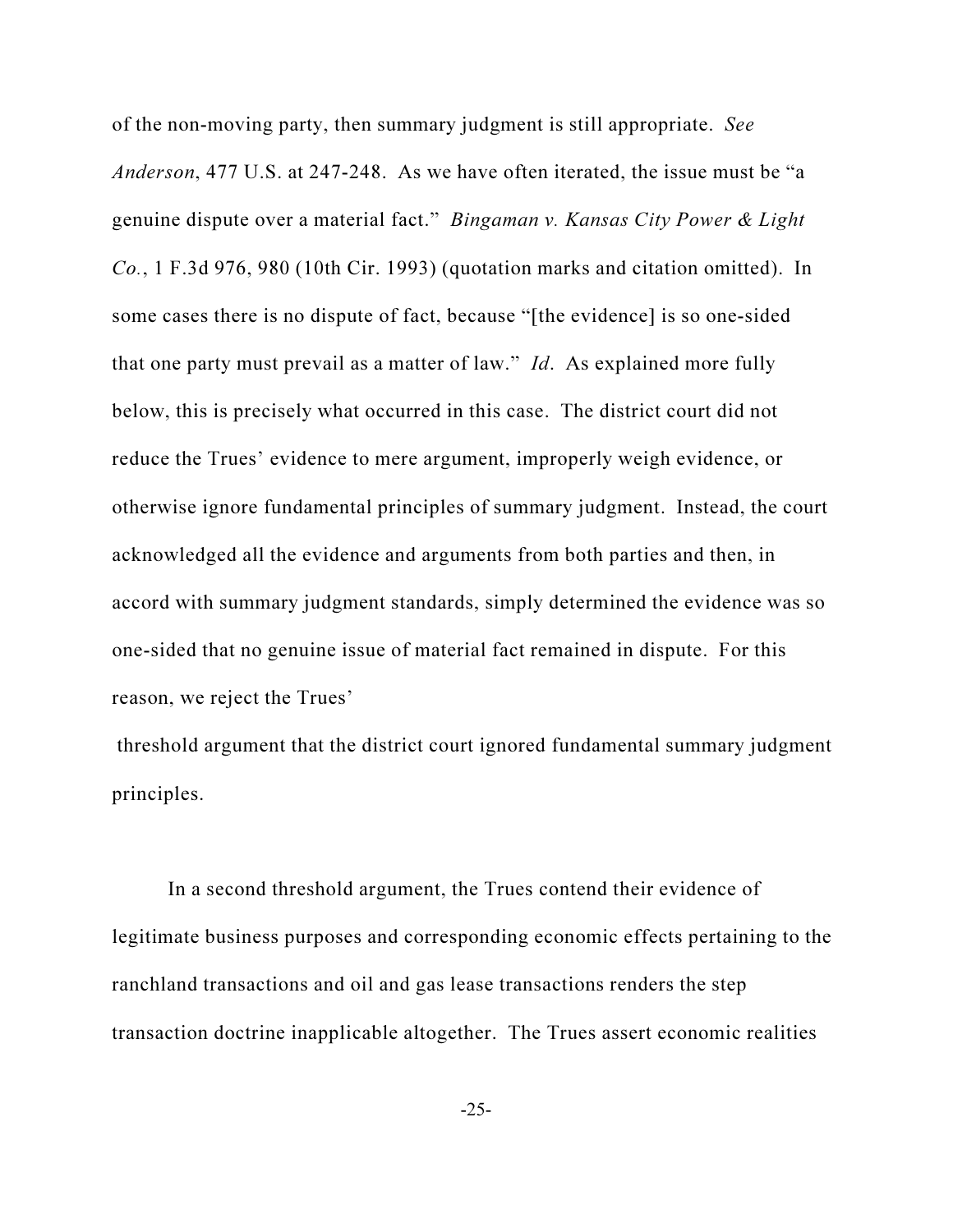of the non-moving party, then summary judgment is still appropriate. See Anderson, 477 U.S. at 247-248. As we have often iterated, the issue must be "a genuine dispute over a material fact." Bingaman v. Kansas City Power & Light Co., 1 F.3d 976, 980 (10th Cir. 1993) (quotation marks and citation omitted). In some cases there is no dispute of fact, because "[the evidence] is so one-sided that one party must prevail as a matter of law." Id. As explained more fully below, this is precisely what occurred in this case. The district court did not reduce the Trues' evidence to mere argument, improperly weigh evidence, or otherwise ignore fundamental principles of summary judgment. Instead, the court acknowledged all the evidence and arguments from both parties and then, in accord with summary judgment standards, simply determined the evidence was so one-sided that no genuine issue of material fact remained in dispute. For this reason, we reject the Trues'

 threshold argument that the district court ignored fundamental summary judgment principles.

In a second threshold argument, the Trues contend their evidence of legitimate business purposes and corresponding economic effects pertaining to the ranchland transactions and oil and gas lease transactions renders the step transaction doctrine inapplicable altogether. The Trues assert economic realities

-25-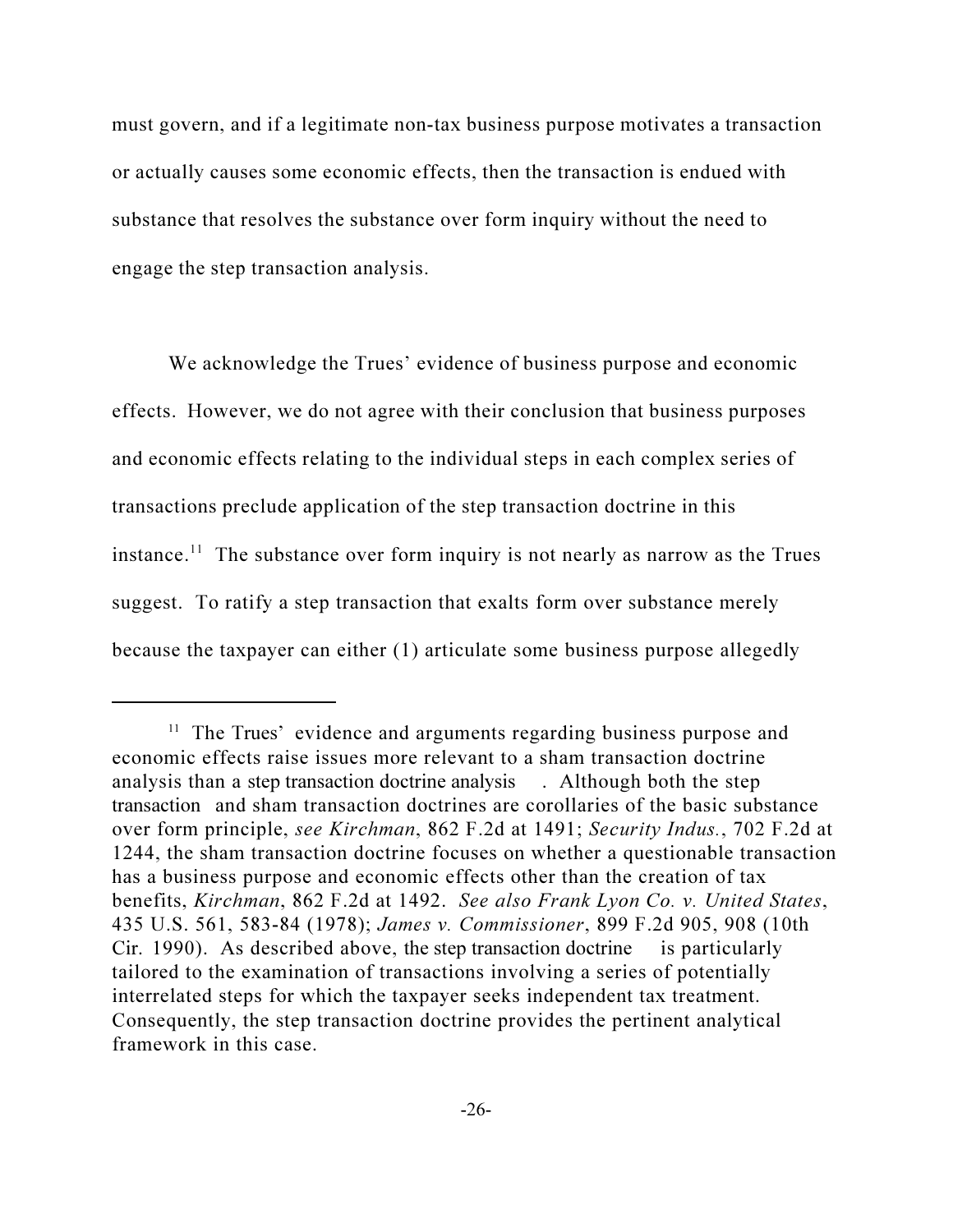must govern, and if a legitimate non-tax business purpose motivates a transaction or actually causes some economic effects, then the transaction is endued with substance that resolves the substance over form inquiry without the need to engage the step transaction analysis.

We acknowledge the Trues' evidence of business purpose and economic effects. However, we do not agree with their conclusion that business purposes and economic effects relating to the individual steps in each complex series of transactions preclude application of the step transaction doctrine in this instance.<sup>11</sup> The substance over form inquiry is not nearly as narrow as the Trues suggest. To ratify a step transaction that exalts form over substance merely because the taxpayer can either (1) articulate some business purpose allegedly

<sup>&</sup>lt;sup>11</sup> The Trues' evidence and arguments regarding business purpose and economic effects raise issues more relevant to a sham transaction doctrine analysis than a step transaction doctrine analysis . Although both the step transaction and sham transaction doctrines are corollaries of the basic substance over form principle, see Kirchman, 862 F.2d at 1491; Security Indus., 702 F.2d at 1244, the sham transaction doctrine focuses on whether a questionable transaction has a business purpose and economic effects other than the creation of tax benefits, Kirchman, 862 F.2d at 1492. See also Frank Lyon Co. v. United States, 435 U.S. 561, 583-84 (1978); James v. Commissioner, 899 F.2d 905, 908 (10th Cir. 1990). As described above, the step transaction doctrine is particularly tailored to the examination of transactions involving a series of potentially interrelated steps for which the taxpayer seeks independent tax treatment. Consequently, the step transaction doctrine provides the pertinent analytical framework in this case.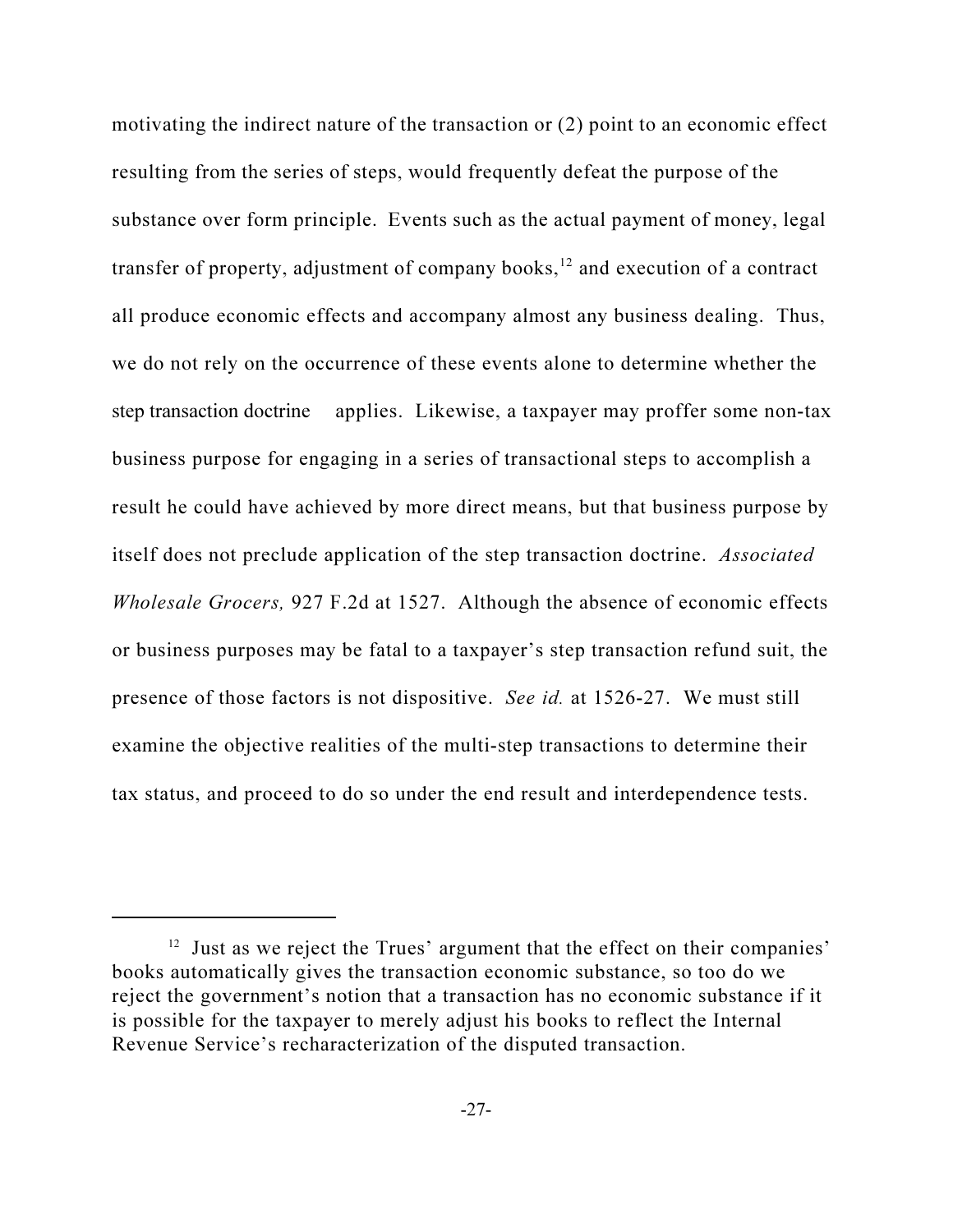motivating the indirect nature of the transaction or (2) point to an economic effect resulting from the series of steps, would frequently defeat the purpose of the substance over form principle. Events such as the actual payment of money, legal transfer of property, adjustment of company books, $12$  and execution of a contract all produce economic effects and accompany almost any business dealing. Thus, we do not rely on the occurrence of these events alone to determine whether the step transaction doctrine applies. Likewise, a taxpayer may proffer some non-tax business purpose for engaging in a series of transactional steps to accomplish a result he could have achieved by more direct means, but that business purpose by itself does not preclude application of the step transaction doctrine. Associated Wholesale Grocers, 927 F.2d at 1527. Although the absence of economic effects or business purposes may be fatal to a taxpayer's step transaction refund suit, the presence of those factors is not dispositive. See id. at 1526-27. We must still examine the objective realities of the multi-step transactions to determine their tax status, and proceed to do so under the end result and interdependence tests.

<sup>&</sup>lt;sup>12</sup> Just as we reject the Trues' argument that the effect on their companies' books automatically gives the transaction economic substance, so too do we reject the government's notion that a transaction has no economic substance if it is possible for the taxpayer to merely adjust his books to reflect the Internal Revenue Service's recharacterization of the disputed transaction.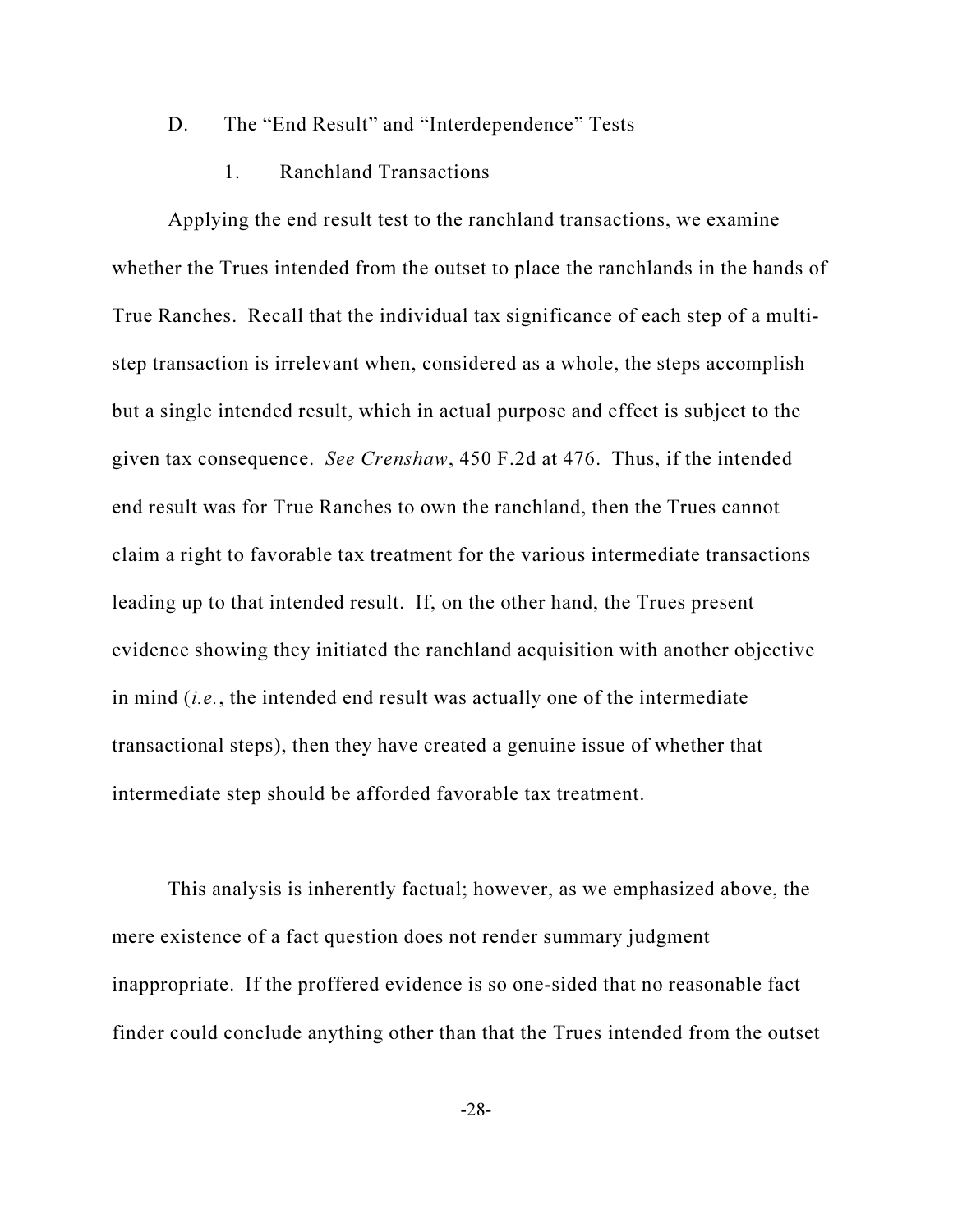- D. The "End Result" and "Interdependence" Tests
	- 1. Ranchland Transactions

Applying the end result test to the ranchland transactions, we examine whether the Trues intended from the outset to place the ranchlands in the hands of True Ranches. Recall that the individual tax significance of each step of a multistep transaction is irrelevant when, considered as a whole, the steps accomplish but a single intended result, which in actual purpose and effect is subject to the given tax consequence. See Crenshaw, 450 F.2d at 476. Thus, if the intended end result was for True Ranches to own the ranchland, then the Trues cannot claim a right to favorable tax treatment for the various intermediate transactions leading up to that intended result. If, on the other hand, the Trues present evidence showing they initiated the ranchland acquisition with another objective in mind  $(i.e.,$  the intended end result was actually one of the intermediate transactional steps), then they have created a genuine issue of whether that intermediate step should be afforded favorable tax treatment.

This analysis is inherently factual; however, as we emphasized above, the mere existence of a fact question does not render summary judgment inappropriate. If the proffered evidence is so one-sided that no reasonable fact finder could conclude anything other than that the Trues intended from the outset

-28-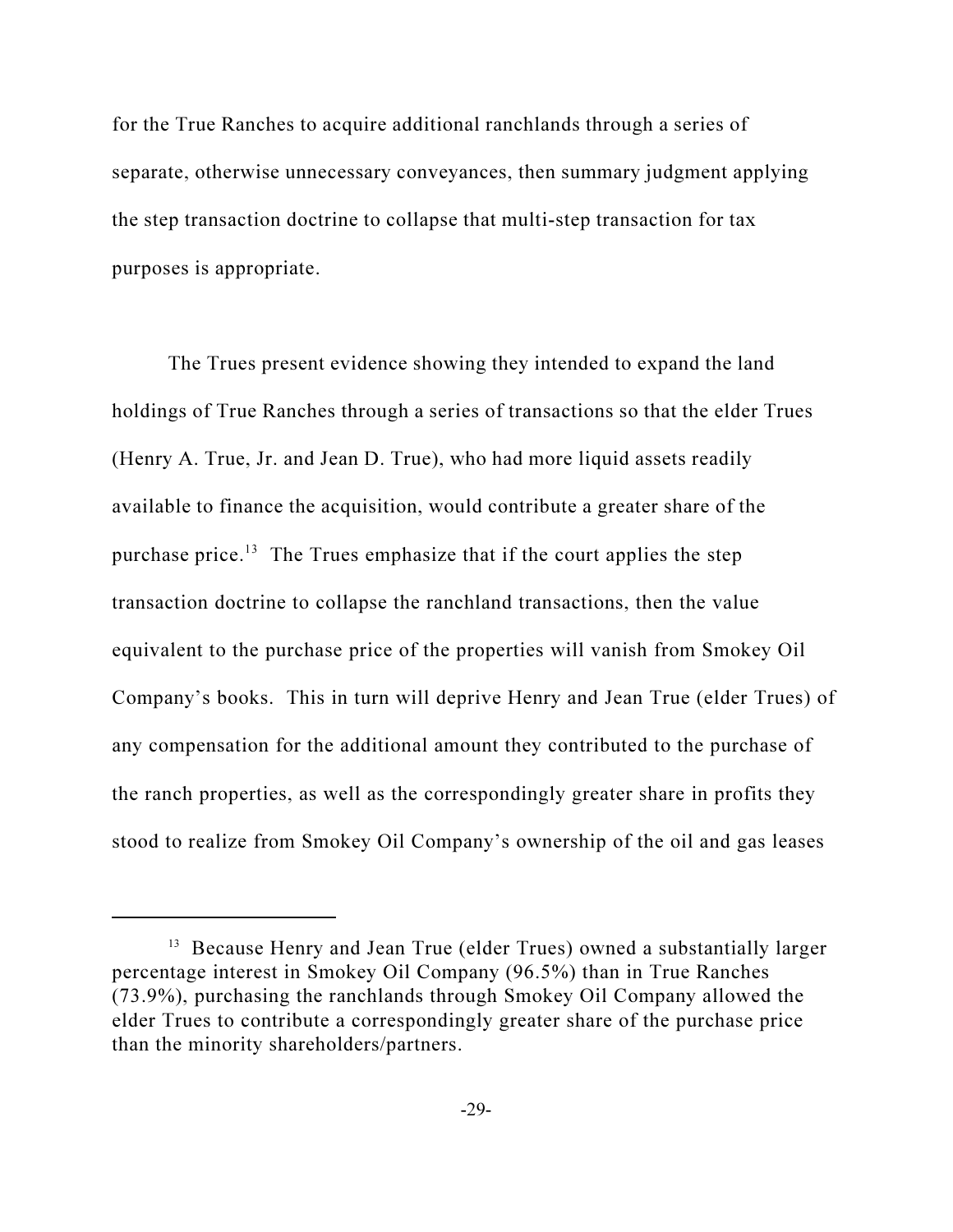for the True Ranches to acquire additional ranchlands through a series of separate, otherwise unnecessary conveyances, then summary judgment applying the step transaction doctrine to collapse that multi-step transaction for tax purposes is appropriate.

The Trues present evidence showing they intended to expand the land holdings of True Ranches through a series of transactions so that the elder Trues (Henry A. True, Jr. and Jean D. True), who had more liquid assets readily available to finance the acquisition, would contribute a greater share of the purchase price.<sup>13</sup> The Trues emphasize that if the court applies the step transaction doctrine to collapse the ranchland transactions, then the value equivalent to the purchase price of the properties will vanish from Smokey Oil Company's books. This in turn will deprive Henry and Jean True (elder Trues) of any compensation for the additional amount they contributed to the purchase of the ranch properties, as well as the correspondingly greater share in profits they stood to realize from Smokey Oil Company's ownership of the oil and gas leases

<sup>&</sup>lt;sup>13</sup> Because Henry and Jean True (elder Trues) owned a substantially larger percentage interest in Smokey Oil Company (96.5%) than in True Ranches (73.9%), purchasing the ranchlands through Smokey Oil Company allowed the elder Trues to contribute a correspondingly greater share of the purchase price than the minority shareholders/partners.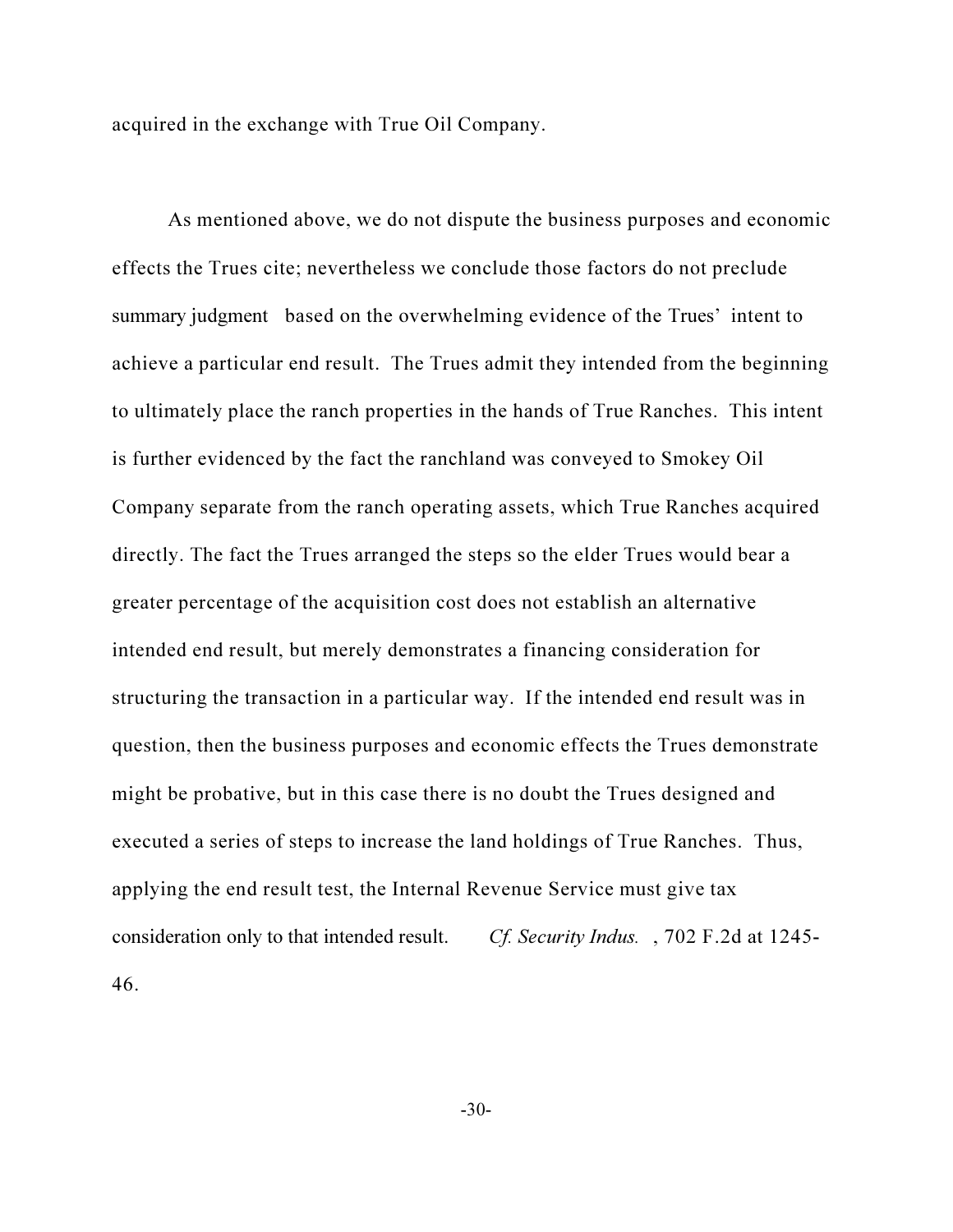acquired in the exchange with True Oil Company.

As mentioned above, we do not dispute the business purposes and economic effects the Trues cite; nevertheless we conclude those factors do not preclude summary judgment based on the overwhelming evidence of the Trues' intent to achieve a particular end result. The Trues admit they intended from the beginning to ultimately place the ranch properties in the hands of True Ranches. This intent is further evidenced by the fact the ranchland was conveyed to Smokey Oil Company separate from the ranch operating assets, which True Ranches acquired directly. The fact the Trues arranged the steps so the elder Trues would bear a greater percentage of the acquisition cost does not establish an alternative intended end result, but merely demonstrates a financing consideration for structuring the transaction in a particular way. If the intended end result was in question, then the business purposes and economic effects the Trues demonstrate might be probative, but in this case there is no doubt the Trues designed and executed a series of steps to increase the land holdings of True Ranches. Thus, applying the end result test, the Internal Revenue Service must give tax consideration only to that intended result. Cf. Security Indus. , 702 F.2d at 1245- 46.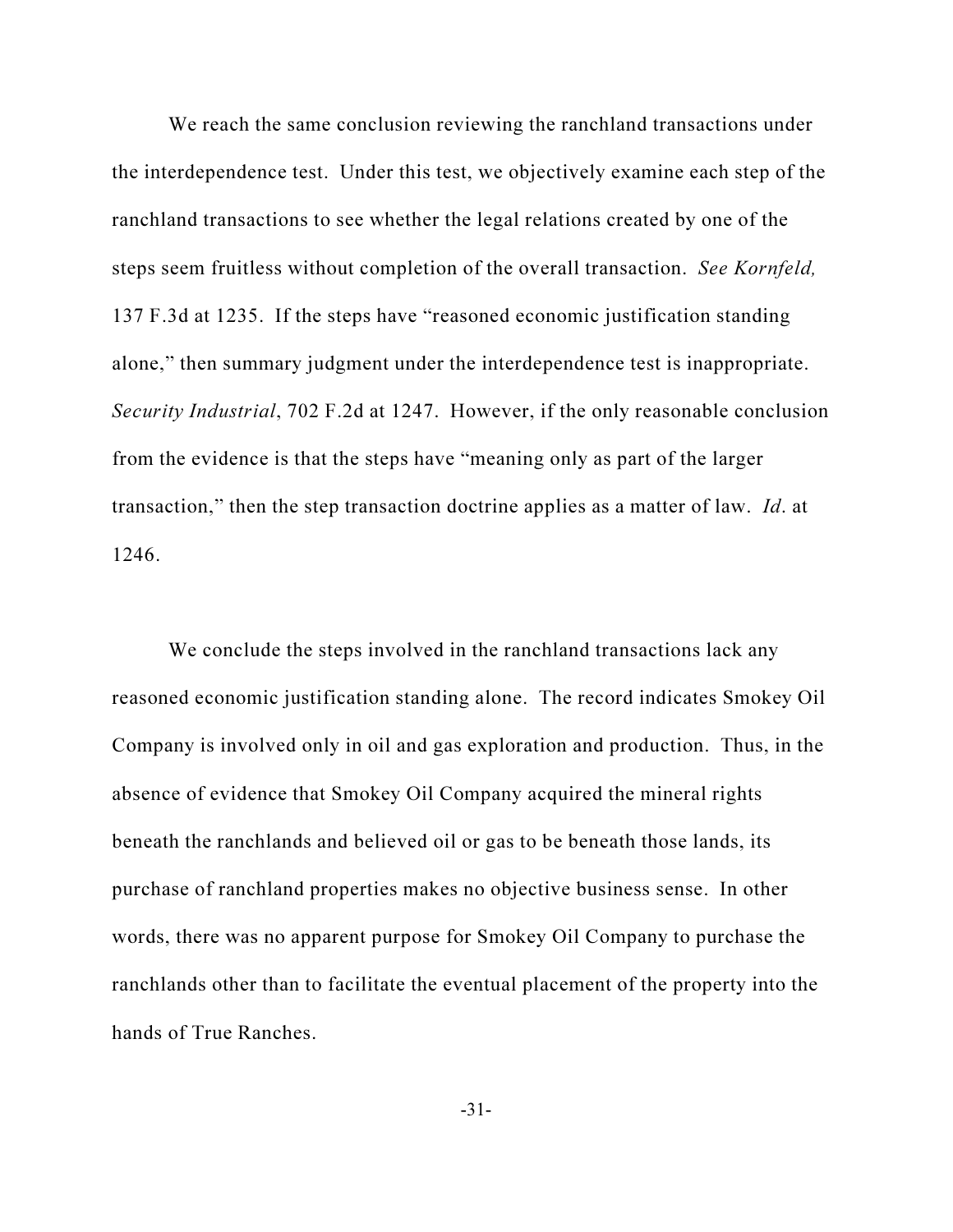We reach the same conclusion reviewing the ranchland transactions under the interdependence test. Under this test, we objectively examine each step of the ranchland transactions to see whether the legal relations created by one of the steps seem fruitless without completion of the overall transaction. See Kornfeld, 137 F.3d at 1235. If the steps have "reasoned economic justification standing alone," then summary judgment under the interdependence test is inappropriate. Security Industrial, 702 F.2d at 1247. However, if the only reasonable conclusion from the evidence is that the steps have "meaning only as part of the larger transaction," then the step transaction doctrine applies as a matter of law. Id. at 1246.

We conclude the steps involved in the ranchland transactions lack any reasoned economic justification standing alone. The record indicates Smokey Oil Company is involved only in oil and gas exploration and production. Thus, in the absence of evidence that Smokey Oil Company acquired the mineral rights beneath the ranchlands and believed oil or gas to be beneath those lands, its purchase of ranchland properties makes no objective business sense. In other words, there was no apparent purpose for Smokey Oil Company to purchase the ranchlands other than to facilitate the eventual placement of the property into the hands of True Ranches.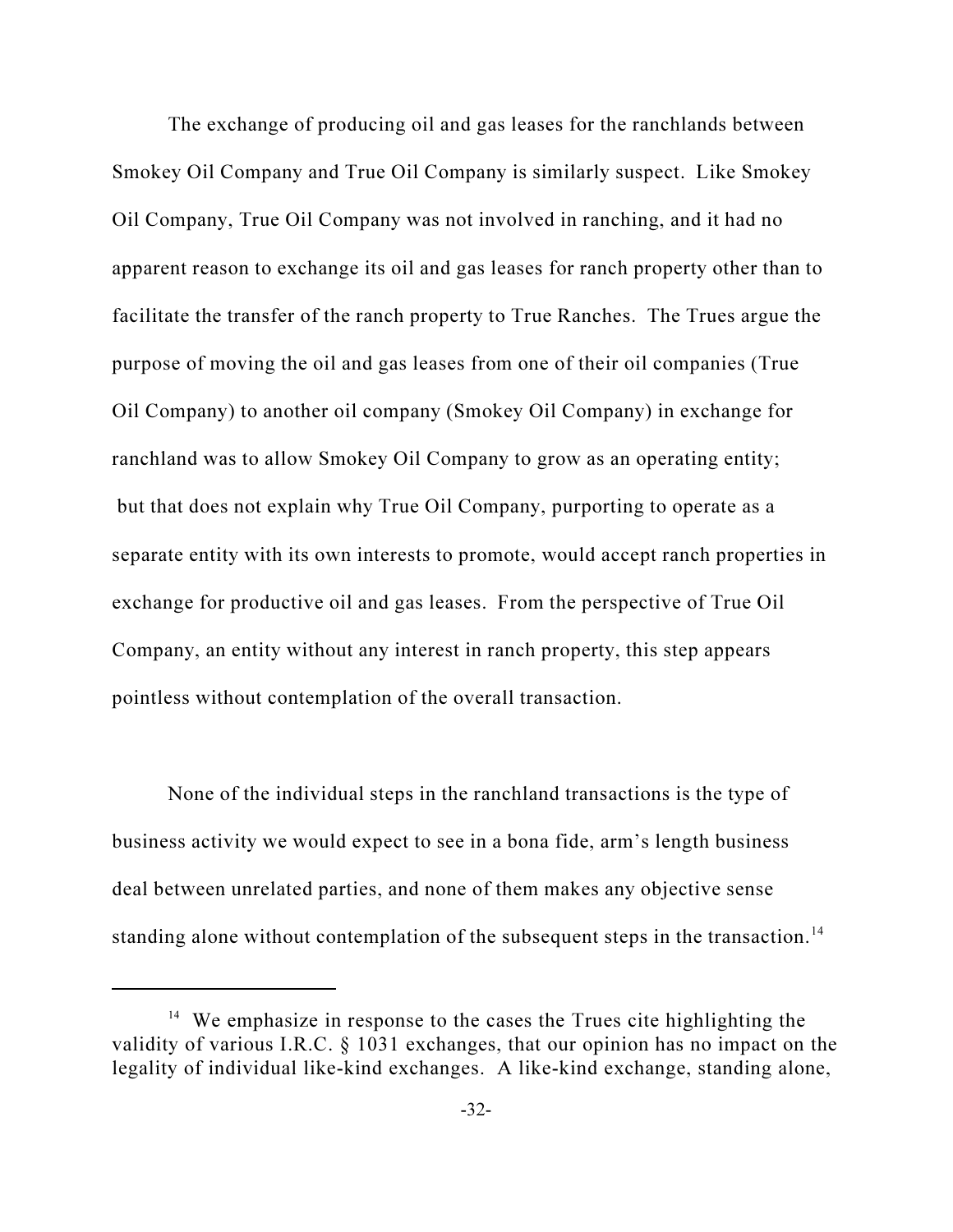The exchange of producing oil and gas leases for the ranchlands between Smokey Oil Company and True Oil Company is similarly suspect. Like Smokey Oil Company, True Oil Company was not involved in ranching, and it had no apparent reason to exchange its oil and gas leases for ranch property other than to facilitate the transfer of the ranch property to True Ranches. The Trues argue the purpose of moving the oil and gas leases from one of their oil companies (True Oil Company) to another oil company (Smokey Oil Company) in exchange for ranchland was to allow Smokey Oil Company to grow as an operating entity; but that does not explain why True Oil Company, purporting to operate as a separate entity with its own interests to promote, would accept ranch properties in exchange for productive oil and gas leases. From the perspective of True Oil Company, an entity without any interest in ranch property, this step appears pointless without contemplation of the overall transaction.

None of the individual steps in the ranchland transactions is the type of business activity we would expect to see in a bona fide, arm's length business deal between unrelated parties, and none of them makes any objective sense standing alone without contemplation of the subsequent steps in the transaction.<sup>14</sup>

<sup>&</sup>lt;sup>14</sup> We emphasize in response to the cases the Trues cite highlighting the validity of various I.R.C. § 1031 exchanges, that our opinion has no impact on the legality of individual like-kind exchanges. A like-kind exchange, standing alone,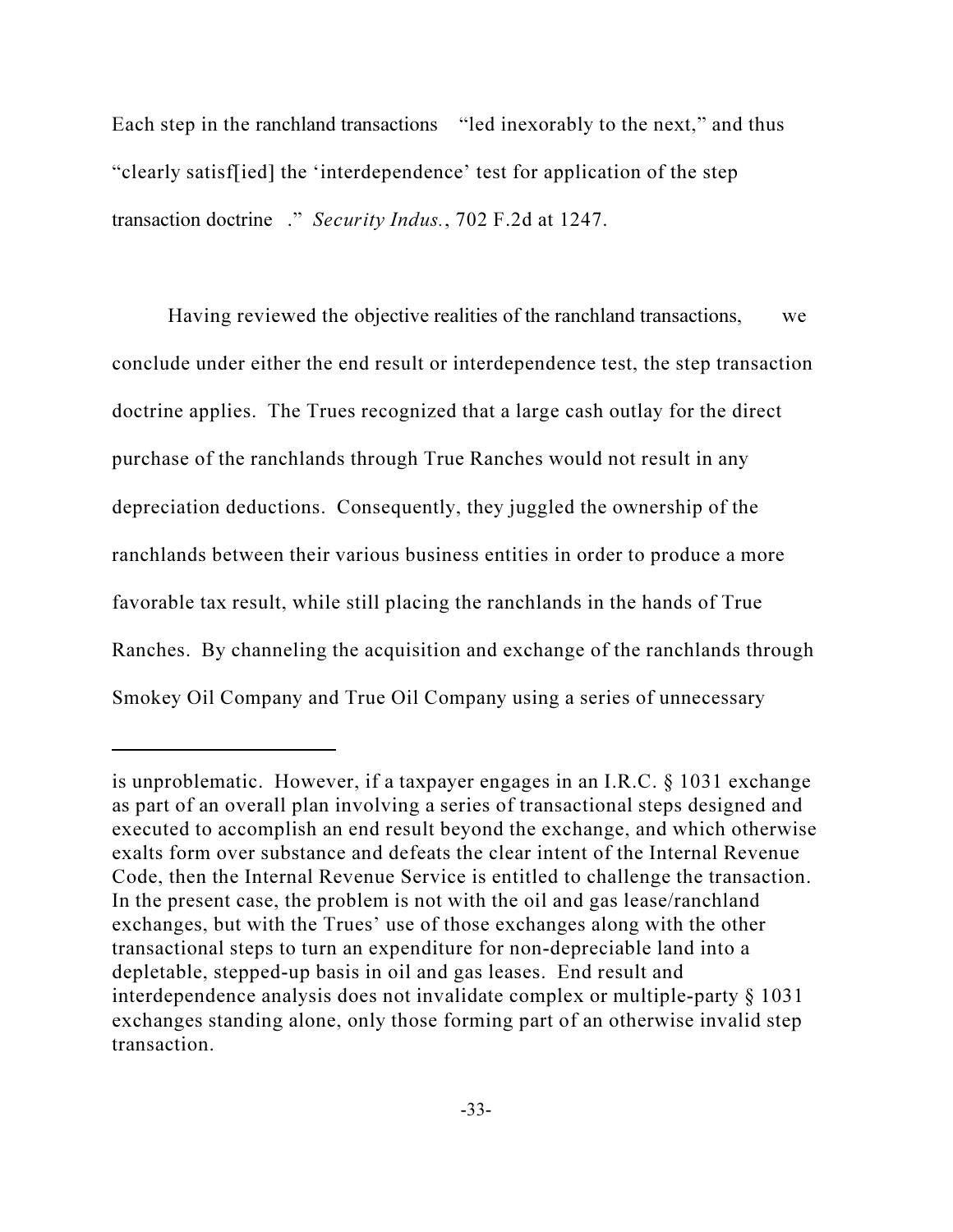Each step in the ranchland transactions "led inexorably to the next," and thus "clearly satisf[ied] the 'interdependence' test for application of the step transaction doctrine ." Security Indus., 702 F.2d at 1247.

Having reviewed the objective realities of the ranchland transactions, we conclude under either the end result or interdependence test, the step transaction doctrine applies. The Trues recognized that a large cash outlay for the direct purchase of the ranchlands through True Ranches would not result in any depreciation deductions. Consequently, they juggled the ownership of the ranchlands between their various business entities in order to produce a more favorable tax result, while still placing the ranchlands in the hands of True Ranches. By channeling the acquisition and exchange of the ranchlands through Smokey Oil Company and True Oil Company using a series of unnecessary

is unproblematic. However, if a taxpayer engages in an I.R.C. § 1031 exchange as part of an overall plan involving a series of transactional steps designed and executed to accomplish an end result beyond the exchange, and which otherwise exalts form over substance and defeats the clear intent of the Internal Revenue Code, then the Internal Revenue Service is entitled to challenge the transaction. In the present case, the problem is not with the oil and gas lease/ranchland exchanges, but with the Trues' use of those exchanges along with the other transactional steps to turn an expenditure for non-depreciable land into a depletable, stepped-up basis in oil and gas leases. End result and interdependence analysis does not invalidate complex or multiple-party § 1031 exchanges standing alone, only those forming part of an otherwise invalid step transaction.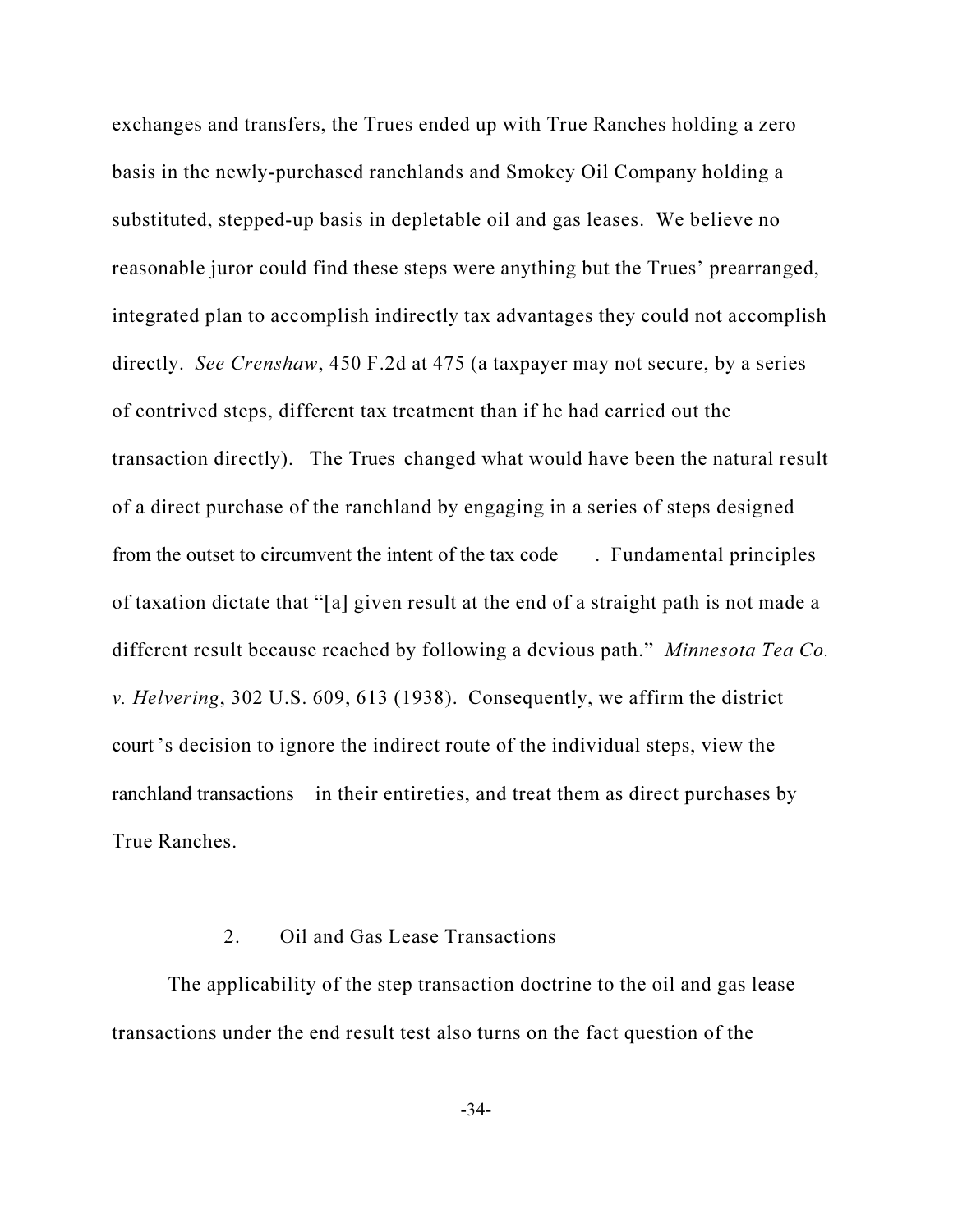exchanges and transfers, the Trues ended up with True Ranches holding a zero basis in the newly-purchased ranchlands and Smokey Oil Company holding a substituted, stepped-up basis in depletable oil and gas leases. We believe no reasonable juror could find these steps were anything but the Trues' prearranged, integrated plan to accomplish indirectly tax advantages they could not accomplish directly. See Crenshaw, 450 F.2d at 475 (a taxpayer may not secure, by a series of contrived steps, different tax treatment than if he had carried out the transaction directly). The Trues changed what would have been the natural result of a direct purchase of the ranchland by engaging in a series of steps designed from the outset to circumvent the intent of the tax code . Fundamental principles of taxation dictate that "[a] given result at the end of a straight path is not made a different result because reached by following a devious path." *Minnesota Tea Co.* v. Helvering, 302 U.S. 609, 613 (1938). Consequently, we affirm the district court 's decision to ignore the indirect route of the individual steps, view the ranchland transactions in their entireties, and treat them as direct purchases by True Ranches.

## 2. Oil and Gas Lease Transactions

The applicability of the step transaction doctrine to the oil and gas lease transactions under the end result test also turns on the fact question of the

-34-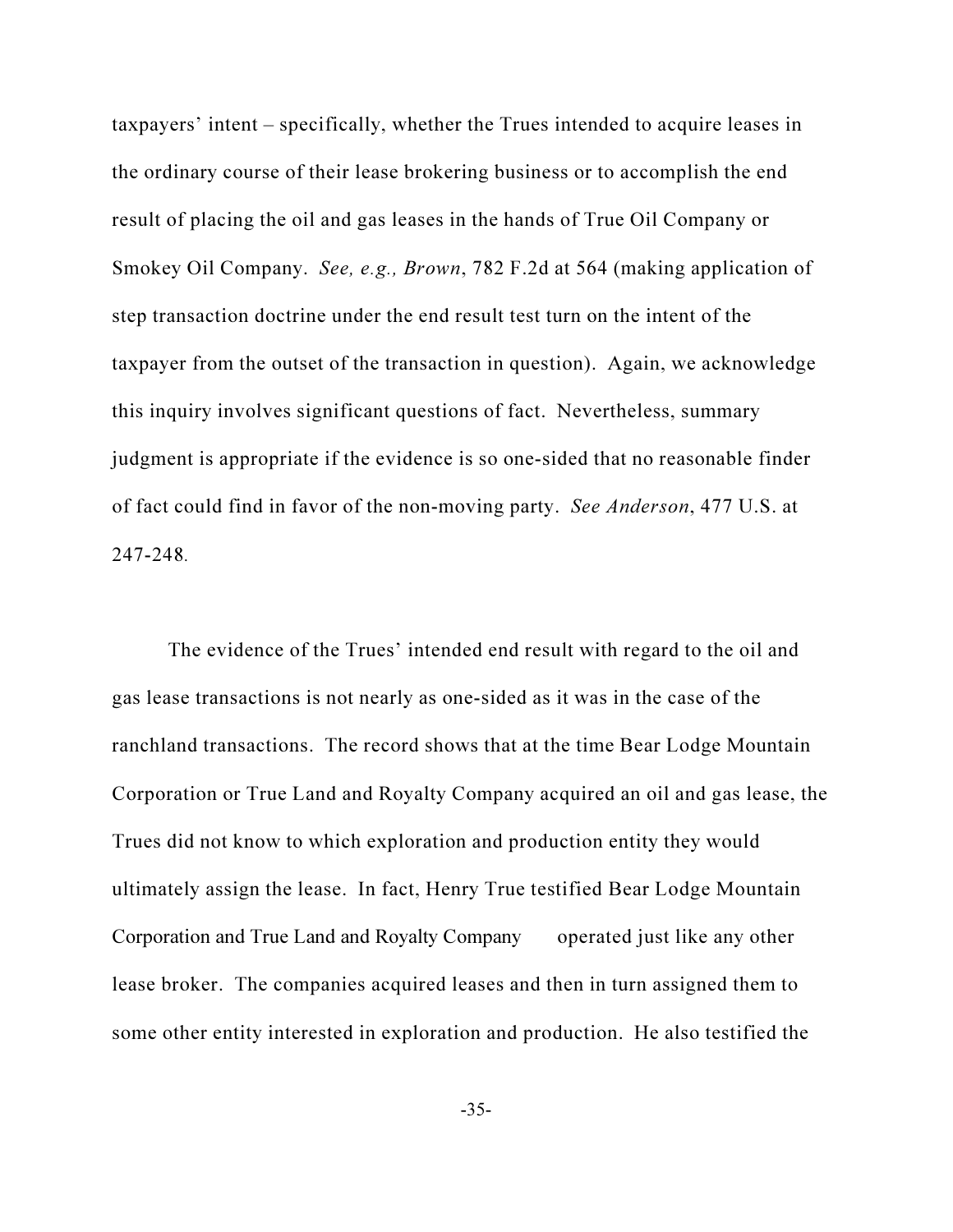taxpayers' intent – specifically, whether the Trues intended to acquire leases in the ordinary course of their lease brokering business or to accomplish the end result of placing the oil and gas leases in the hands of True Oil Company or Smokey Oil Company. See, e.g., Brown, 782 F.2d at 564 (making application of step transaction doctrine under the end result test turn on the intent of the taxpayer from the outset of the transaction in question). Again, we acknowledge this inquiry involves significant questions of fact. Nevertheless, summary judgment is appropriate if the evidence is so one-sided that no reasonable finder of fact could find in favor of the non-moving party. See Anderson, 477 U.S. at 247-248.

The evidence of the Trues' intended end result with regard to the oil and gas lease transactions is not nearly as one-sided as it was in the case of the ranchland transactions. The record shows that at the time Bear Lodge Mountain Corporation or True Land and Royalty Company acquired an oil and gas lease, the Trues did not know to which exploration and production entity they would ultimately assign the lease. In fact, Henry True testified Bear Lodge Mountain Corporation and True Land and Royalty Company operated just like any other lease broker. The companies acquired leases and then in turn assigned them to some other entity interested in exploration and production. He also testified the

-35-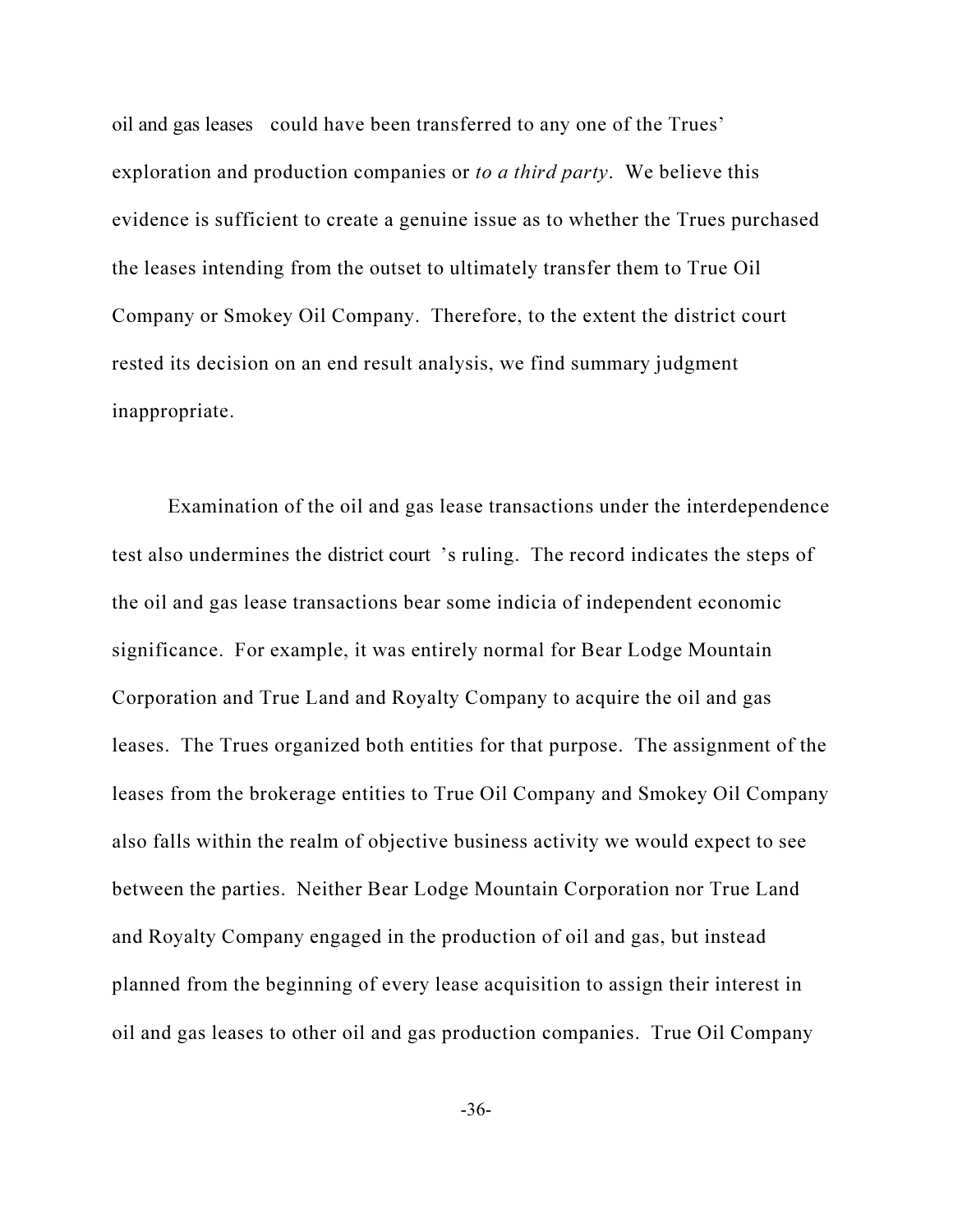oil and gas leases could have been transferred to any one of the Trues' exploration and production companies or *to a third party*. We believe this evidence is sufficient to create a genuine issue as to whether the Trues purchased the leases intending from the outset to ultimately transfer them to True Oil Company or Smokey Oil Company. Therefore, to the extent the district court rested its decision on an end result analysis, we find summary judgment inappropriate.

Examination of the oil and gas lease transactions under the interdependence test also undermines the district court 's ruling. The record indicates the steps of the oil and gas lease transactions bear some indicia of independent economic significance. For example, it was entirely normal for Bear Lodge Mountain Corporation and True Land and Royalty Company to acquire the oil and gas leases. The Trues organized both entities for that purpose. The assignment of the leases from the brokerage entities to True Oil Company and Smokey Oil Company also falls within the realm of objective business activity we would expect to see between the parties. Neither Bear Lodge Mountain Corporation nor True Land and Royalty Company engaged in the production of oil and gas, but instead planned from the beginning of every lease acquisition to assign their interest in oil and gas leases to other oil and gas production companies. True Oil Company

-36-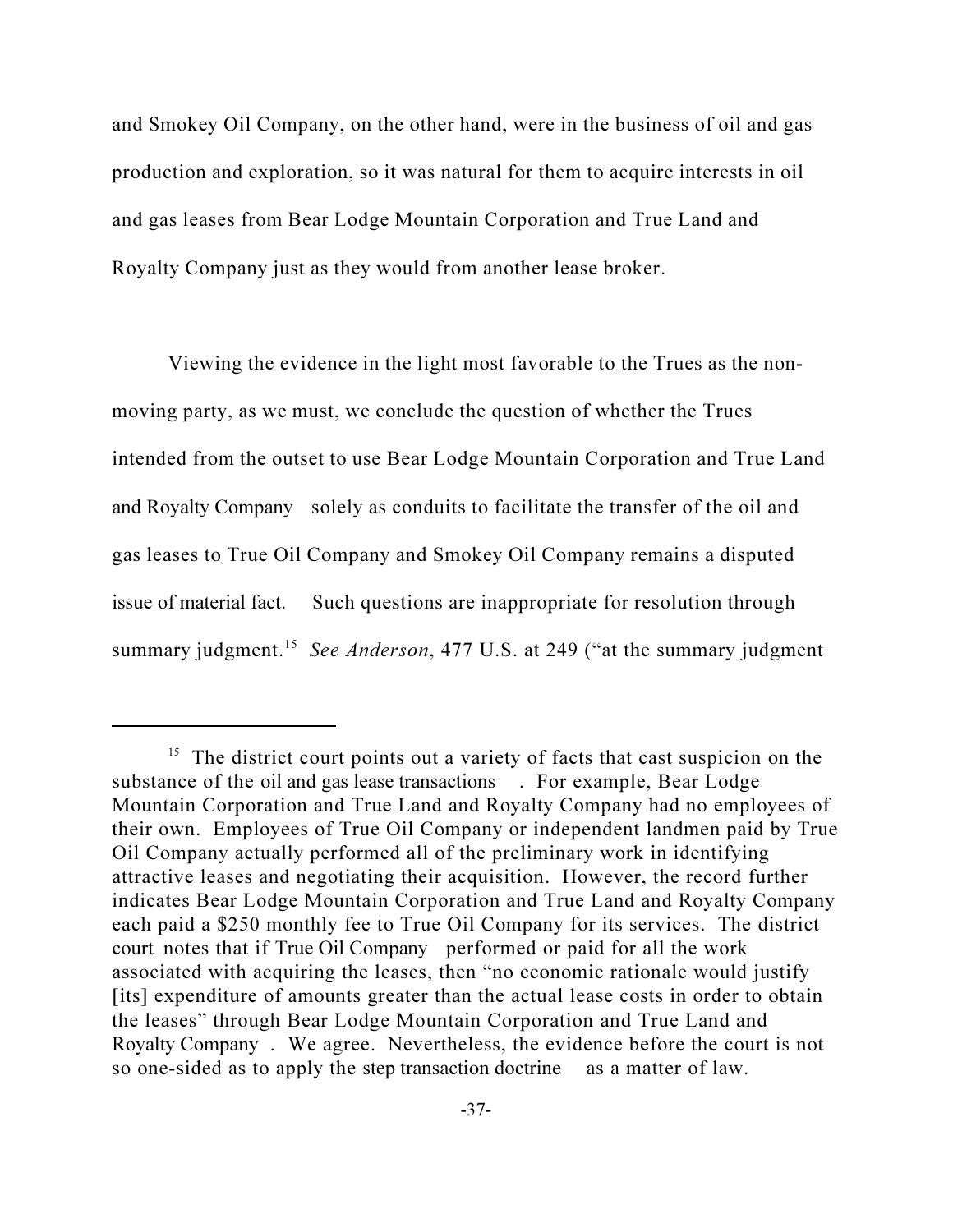and Smokey Oil Company, on the other hand, were in the business of oil and gas production and exploration, so it was natural for them to acquire interests in oil and gas leases from Bear Lodge Mountain Corporation and True Land and Royalty Company just as they would from another lease broker.

Viewing the evidence in the light most favorable to the Trues as the nonmoving party, as we must, we conclude the question of whether the Trues intended from the outset to use Bear Lodge Mountain Corporation and True Land and Royalty Company solely as conduits to facilitate the transfer of the oil and gas leases to True Oil Company and Smokey Oil Company remains a disputed issue of material fact. Such questions are inappropriate for resolution through summary judgment.<sup>15</sup> See Anderson, 477 U.S. at 249 ("at the summary judgment"

<sup>&</sup>lt;sup>15</sup> The district court points out a variety of facts that cast suspicion on the substance of the oil and gas lease transactions . For example, Bear Lodge Mountain Corporation and True Land and Royalty Company had no employees of their own. Employees of True Oil Company or independent landmen paid by True Oil Company actually performed all of the preliminary work in identifying attractive leases and negotiating their acquisition. However, the record further indicates Bear Lodge Mountain Corporation and True Land and Royalty Company each paid a \$250 monthly fee to True Oil Company for its services. The district court notes that if True Oil Company performed or paid for all the work associated with acquiring the leases, then "no economic rationale would justify [its] expenditure of amounts greater than the actual lease costs in order to obtain the leases" through Bear Lodge Mountain Corporation and True Land and Royalty Company . We agree. Nevertheless, the evidence before the court is not so one-sided as to apply the step transaction doctrine as a matter of law.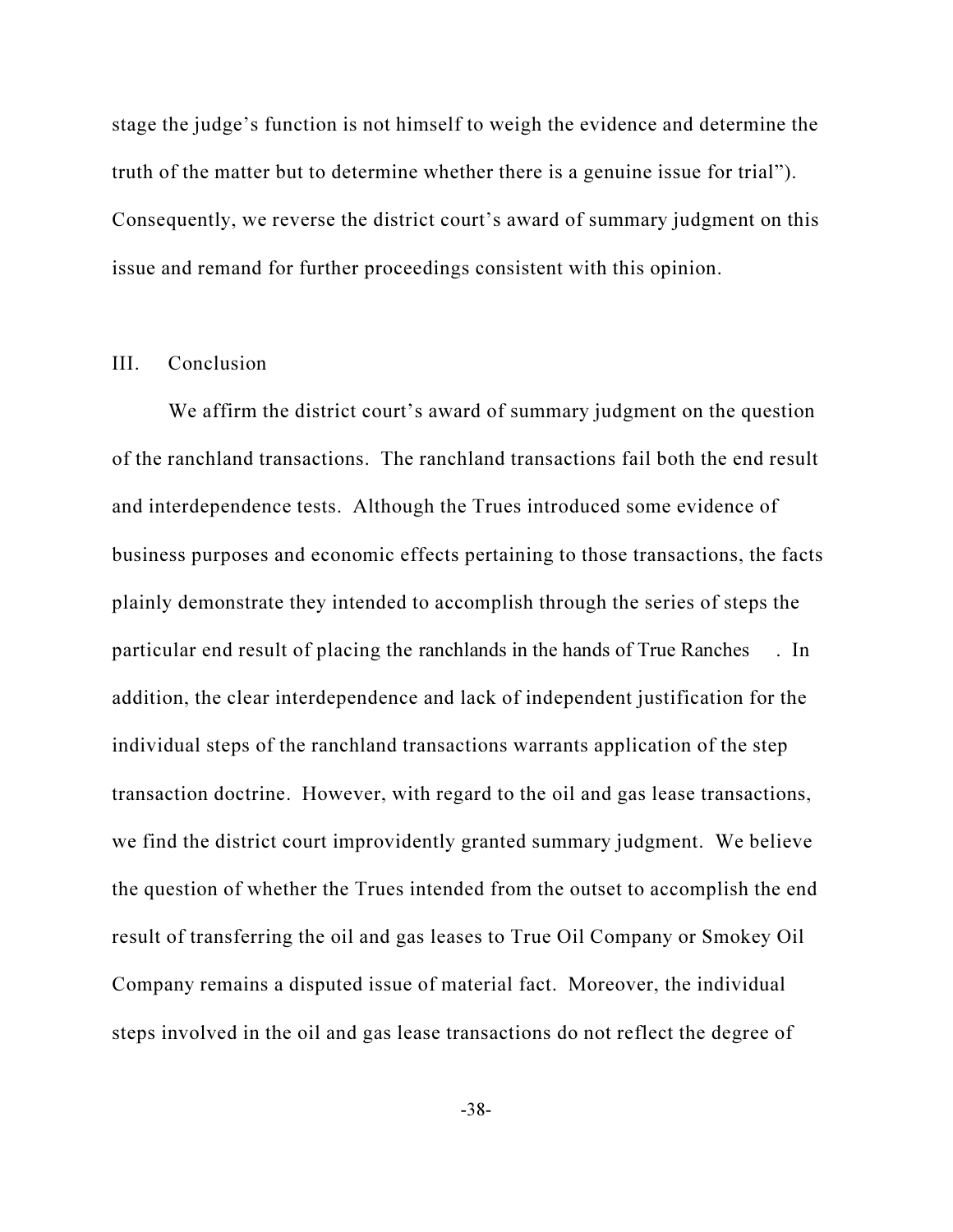stage the judge's function is not himself to weigh the evidence and determine the truth of the matter but to determine whether there is a genuine issue for trial"). Consequently, we reverse the district court's award of summary judgment on this issue and remand for further proceedings consistent with this opinion.

## III. Conclusion

We affirm the district court's award of summary judgment on the question of the ranchland transactions. The ranchland transactions fail both the end result and interdependence tests. Although the Trues introduced some evidence of business purposes and economic effects pertaining to those transactions, the facts plainly demonstrate they intended to accomplish through the series of steps the particular end result of placing the ranchlands in the hands of True Ranches . In addition, the clear interdependence and lack of independent justification for the individual steps of the ranchland transactions warrants application of the step transaction doctrine. However, with regard to the oil and gas lease transactions, we find the district court improvidently granted summary judgment. We believe the question of whether the Trues intended from the outset to accomplish the end result of transferring the oil and gas leases to True Oil Company or Smokey Oil Company remains a disputed issue of material fact. Moreover, the individual steps involved in the oil and gas lease transactions do not reflect the degree of

-38-